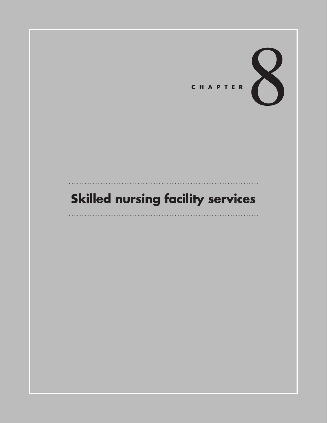

# **Skilled nursing facility services**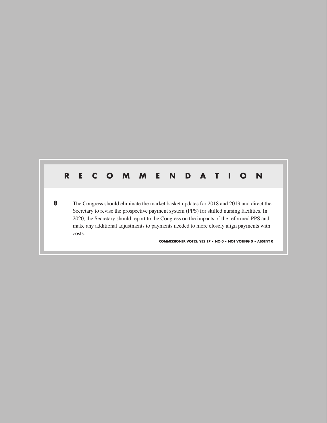# **RECOMMENDATION 8** The Congress should eliminate the market basket updates for 2018 and 2019 and direct the Secretary to revise the prospective payment system (PPS) for skilled nursing facilities. In 2020, the Secretary should report to the Congress on the impacts of the reformed PPS and make any additional adjustments to payments needed to more closely align payments with costs. **COMMISSIONER VOTES: YES 17 • NO 0 • NOT VOTING 0 • ABSENT 0**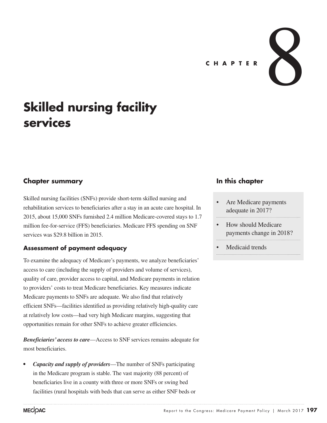

# **Skilled nursing facility services**

### **Chapter summary**

Skilled nursing facilities (SNFs) provide short-term skilled nursing and rehabilitation services to beneficiaries after a stay in an acute care hospital. In 2015, about 15,000 SNFs furnished 2.4 million Medicare-covered stays to 1.7 million fee-for-service (FFS) beneficiaries. Medicare FFS spending on SNF services was \$29.8 billion in 2015.

#### **Assessment of payment adequacy**

To examine the adequacy of Medicare's payments, we analyze beneficiaries' access to care (including the supply of providers and volume of services), quality of care, provider access to capital, and Medicare payments in relation to providers' costs to treat Medicare beneficiaries. Key measures indicate Medicare payments to SNFs are adequate. We also find that relatively efficient SNFs—facilities identified as providing relatively high-quality care at relatively low costs—had very high Medicare margins, suggesting that opportunities remain for other SNFs to achieve greater efficiencies.

*Beneficiaries' access to care*—Access to SNF services remains adequate for most beneficiaries.

*• Capacity and supply of providers*—The number of SNFs participating in the Medicare program is stable. The vast majority (88 percent) of beneficiaries live in a county with three or more SNFs or swing bed facilities (rural hospitals with beds that can serve as either SNF beds or

### **In this chapter**

- Are Medicare payments adequate in 2017?
- How should Medicare payments change in 2018?
- Medicaid trends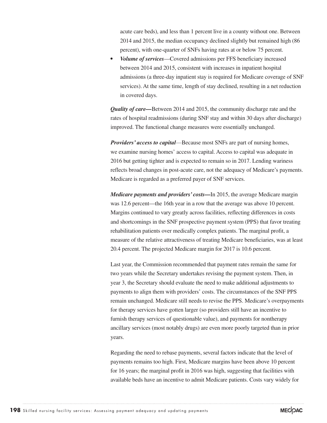acute care beds), and less than 1 percent live in a county without one. Between 2014 and 2015, the median occupancy declined slightly but remained high (86 percent), with one-quarter of SNFs having rates at or below 75 percent.

*• Volume of services*—Covered admissions per FFS beneficiary increased between 2014 and 2015, consistent with increases in inpatient hospital admissions (a three-day inpatient stay is required for Medicare coverage of SNF services). At the same time, length of stay declined, resulting in a net reduction in covered days.

*Quality of care—*Between 2014 and 2015, the community discharge rate and the rates of hospital readmissions (during SNF stay and within 30 days after discharge) improved. The functional change measures were essentially unchanged.

*Providers' access to capital*—Because most SNFs are part of nursing homes, we examine nursing homes' access to capital. Access to capital was adequate in 2016 but getting tighter and is expected to remain so in 2017. Lending wariness reflects broad changes in post-acute care, not the adequacy of Medicare's payments. Medicare is regarded as a preferred payer of SNF services.

*Medicare payments and providers' costs—*In 2015, the average Medicare margin was 12.6 percent—the 16th year in a row that the average was above 10 percent. Margins continued to vary greatly across facilities, reflecting differences in costs and shortcomings in the SNF prospective payment system (PPS) that favor treating rehabilitation patients over medically complex patients. The marginal profit, a measure of the relative attractiveness of treating Medicare beneficiaries, was at least 20.4 percent. The projected Medicare margin for 2017 is 10.6 percent.

Last year, the Commission recommended that payment rates remain the same for two years while the Secretary undertakes revising the payment system. Then, in year 3, the Secretary should evaluate the need to make additional adjustments to payments to align them with providers' costs. The circumstances of the SNF PPS remain unchanged. Medicare still needs to revise the PPS. Medicare's overpayments for therapy services have gotten larger (so providers still have an incentive to furnish therapy services of questionable value), and payments for nontherapy ancillary services (most notably drugs) are even more poorly targeted than in prior years.

Regarding the need to rebase payments, several factors indicate that the level of payments remains too high. First, Medicare margins have been above 10 percent for 16 years; the marginal profit in 2016 was high, suggesting that facilities with available beds have an incentive to admit Medicare patients. Costs vary widely for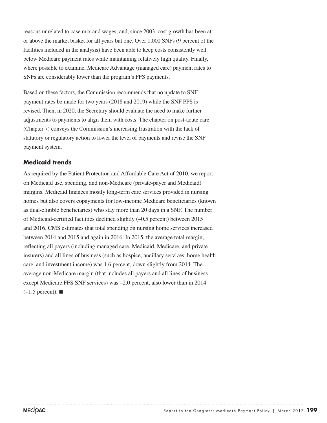reasons unrelated to case mix and wages, and, since 2003, cost growth has been at or above the market basket for all years but one. Over 1,000 SNFs (9 percent of the facilities included in the analysis) have been able to keep costs consistently well below Medicare payment rates while maintaining relatively high quality. Finally, where possible to examine, Medicare Advantage (managed care) payment rates to SNFs are considerably lower than the program's FFS payments.

Based on these factors, the Commission recommends that no update to SNF payment rates be made for two years (2018 and 2019) while the SNF PPS is revised. Then, in 2020, the Secretary should evaluate the need to make further adjustments to payments to align them with costs. The chapter on post-acute care (Chapter 7) conveys the Commission's increasing frustration with the lack of statutory or regulatory action to lower the level of payments and revise the SNF payment system.

#### **Medicaid trends**

As required by the Patient Protection and Affordable Care Act of 2010, we report on Medicaid use, spending, and non-Medicare (private-payer and Medicaid) margins. Medicaid finances mostly long-term care services provided in nursing homes but also covers copayments for low-income Medicare beneficiaries (known as dual-eligible beneficiaries) who stay more than 20 days in a SNF. The number of Medicaid-certified facilities declined slightly (–0.5 percent) between 2015 and 2016. CMS estimates that total spending on nursing home services increased between 2014 and 2015 and again in 2016. In 2015, the average total margin, reflecting all payers (including managed care, Medicaid, Medicare, and private insurers) and all lines of business (such as hospice, ancillary services, home health care, and investment income) was 1.6 percent, down slightly from 2014. The average non-Medicare margin (that includes all payers and all lines of business except Medicare FFS SNF services) was –2.0 percent, also lower than in 2014  $(-1.5$  percent).  $\blacksquare$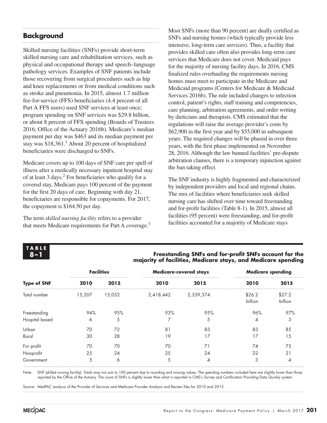# **Background**

Skilled nursing facilities (SNFs) provide short-term skilled nursing care and rehabilitation services, such as physical and occupational therapy and speech–language pathology services. Examples of SNF patients include those recovering from surgical procedures such as hip and knee replacements or from medical conditions such as stroke and pneumonia. In 2015, almost 1.7 million fee-for-service (FFS) beneficiaries (4.4 percent of all Part A FFS users) used SNF services at least once; program spending on SNF services was \$29.8 billion, or about 8 percent of FFS spending (Boards of Trustees 2016, Office of the Actuary 2016b). Medicare's median payment per day was \$463 and its median payment per stay was \$18,361.<sup>1</sup> About 20 percent of hospitalized beneficiaries were discharged to SNFs.

Medicare covers up to 100 days of SNF care per spell of illness after a medically necessary inpatient hospital stay of at least 3 days.<sup>2</sup> For beneficiaries who qualify for a covered stay, Medicare pays 100 percent of the payment for the first 20 days of care. Beginning with day 21, beneficiaries are responsible for copayments. For 2017, the copayment is \$164.50 per day.

The term *skilled nursing facility* refers to a provider that meets Medicare requirements for Part A coverage.<sup>3</sup> Most SNFs (more than 90 percent) are dually certified as SNFs and nursing homes (which typically provide less intensive, long-term care services). Thus, a facility that provides skilled care often also provides long-term care services that Medicare does not cover. Medicaid pays for the majority of nursing facility days. In 2016, CMS finalized rules overhauling the requirements nursing homes must meet to participate in the Medicare and Medicaid programs (Centers for Medicare & Medicaid Services 2016b). The rule included changes to infection control, patient's rights, staff training and competencies, care planning, arbitration agreements, and order writing by dieticians and therapists. CMS estimated that the regulations will raise the average provider's costs by \$62,900 in the first year and by \$55,000 in subsequent years. The required changes will be phased in over three years, with the first phase implemented on November 28, 2016. Although the law banned facilities' pre-dispute arbitration clauses, there is a temporary injunction against the ban taking effect.

The SNF industry is highly fragmented and characterized by independent providers and local and regional chains. The mix of facilities where beneficiaries seek skilled nursing care has shifted over time toward freestanding and for-profit facilities (Table 8-1). In 2015, almost all facilities (95 percent) were freestanding, and for-profit facilities accounted for a majority of Medicare stays

# **TABLE**

#### **8–1 Freestanding SNFs and for-profit SNFs account for the majority of facilities, Medicare stays, and Medicare spending**

|                    |        | <b>Facilities</b> |           | <b>Medicare-covered stays</b> | <b>Medicare spending</b> |                   |
|--------------------|--------|-------------------|-----------|-------------------------------|--------------------------|-------------------|
| <b>Type of SNF</b> | 2010   | 2015              | 2010      | 2015                          | 2010                     | 2015              |
| Total number       | 15,207 | 15,052            | 2,418,442 | 2,359,374                     | \$26.2<br>billion        | \$27.2<br>billion |
| Freestanding       | 94%    | 95%               | 93%       | 95%                           | 96%                      | 97%               |
| Hospital based     | 6      | 5                 |           | 5                             | 4                        | 3                 |
| Urban              | 70     | 72                | 81        | 83                            | 83                       | 85                |
| Rural              | 30     | 28                | 19        | 17                            | 17                       | 15                |
| For profit         | 70     | 70                | 70        | 71                            | 74                       | 75                |
| Nonprofit          | 25     | 24                | 25        | 24                            | 22                       | 21                |
| Government         | 5      | 6                 | 5         | 4                             | 3                        | 4                 |

Note: SNF (skilled nursing facility). Totals may not sum to 100 percent due to rounding and missing values. The spending numbers included here are slightly lower than those reported by the Office of the Actuary. The count of SNFs is slightly lower than what is reported in CMS's Survey and Certification Providing Data Quickly system.

Source: MedPAC analysis of the Provider of Services and Medicare Provider Analysis and Review files for 2010 and 2015.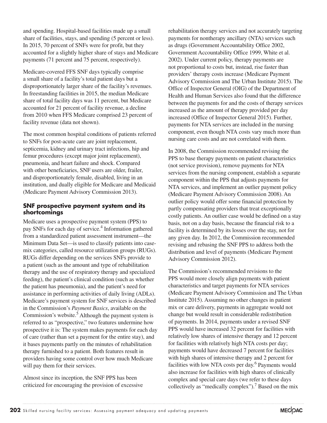and spending. Hospital-based facilities made up a small share of facilities, stays, and spending (5 percent or less). In 2015, 70 percent of SNFs were for profit, but they accounted for a slightly higher share of stays and Medicare payments (71 percent and 75 percent, respectively).

Medicare-covered FFS SNF days typically comprise a small share of a facility's total patient days but a disproportionately larger share of the facility's revenues. In freestanding facilities in 2015, the median Medicare share of total facility days was 11 percent, but Medicare accounted for 21 percent of facility revenue, a decline from 2010 when FFS Medicare comprised 23 percent of facility revenue (data not shown).

The most common hospital conditions of patients referred to SNFs for post-acute care are joint replacement, septicemia, kidney and urinary tract infections, hip and femur procedures (except major joint replacement), pneumonia, and heart failure and shock. Compared with other beneficiaries, SNF users are older, frailer, and disproportionately female, disabled, living in an institution, and dually eligible for Medicare and Medicaid (Medicare Payment Advisory Commission 2013).

#### **SNF prospective payment system and its shortcomings**

Medicare uses a prospective payment system (PPS) to pay SNFs for each day of service.<sup>4</sup> Information gathered from a standardized patient assessment instrument—the Minimum Data Set—is used to classify patients into casemix categories, called resource utilization groups (RUGs). RUGs differ depending on the services SNFs provide to a patient (such as the amount and type of rehabilitation therapy and the use of respiratory therapy and specialized feeding), the patient's clinical condition (such as whether the patient has pneumonia), and the patient's need for assistance in performing activities of daily living (ADLs). Medicare's payment system for SNF services is described in the Commission's *Payment Basics*, available on the Commission's website.<sup>5</sup> Although the payment system is referred to as "prospective," two features undermine how prospective it is: The system makes payments for each day of care (rather than set a payment for the entire stay), and it bases payments partly on the minutes of rehabilitation therapy furnished to a patient. Both features result in providers having some control over how much Medicare will pay them for their services.

Almost since its inception, the SNF PPS has been criticized for encouraging the provision of excessive rehabilitation therapy services and not accurately targeting payments for nontherapy ancillary (NTA) services such as drugs (Government Accountability Office 2002, Government Accountability Office 1999, White et al. 2002). Under current policy, therapy payments are not proportional to costs but, instead, rise faster than providers' therapy costs increase (Medicare Payment Advisory Commission and The Urban Institute 2015). The Office of Inspector General (OIG) of the Department of Health and Human Services also found that the difference between the payments for and the costs of therapy services increased as the amount of therapy provided per day increased (Office of Inspector General 2015). Further, payments for NTA services are included in the nursing component, even though NTA costs vary much more than nursing care costs and are not correlated with them.

In 2008, the Commission recommended revising the PPS to base therapy payments on patient characteristics (not service provision), remove payments for NTA services from the nursing component, establish a separate component within the PPS that adjusts payments for NTA services, and implement an outlier payment policy (Medicare Payment Advisory Commission 2008). An outlier policy would offer some financial protection by partly compensating providers that treat exceptionally costly patients. An outlier case would be defined on a stay basis, not on a day basis, because the financial risk to a facility is determined by its losses over the stay, not for any given day. In 2012, the Commission recommended revising and rebasing the SNF PPS to address both the distribution and level of payments (Medicare Payment Advisory Commission 2012).

The Commission's recommended revisions to the PPS would more closely align payments with patient characteristics and target payments for NTA services (Medicare Payment Advisory Commission and The Urban Institute 2015). Assuming no other changes in patient mix or care delivery, payments in aggregate would not change but would result in considerable redistribution of payments. In 2014, payments under a revised SNF PPS would have increased 32 percent for facilities with relatively low shares of intensive therapy and 12 percent for facilities with relatively high NTA costs per day; payments would have decreased 7 percent for facilities with high shares of intensive therapy and 2 percent for facilities with low NTA costs per day.<sup>6</sup> Payments would also increase for facilities with high shares of clinically complex and special care days (we refer to these days collectively as "medically complex").<sup>7</sup> Based on the mix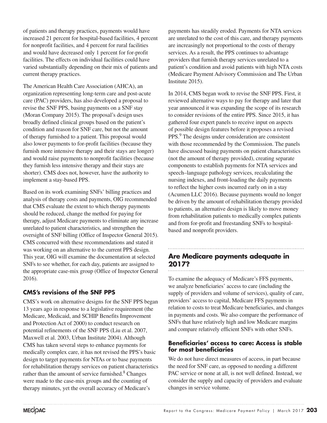of patients and therapy practices, payments would have increased 21 percent for hospital-based facilities, 4 percent for nonprofit facilities, and 4 percent for rural facilities and would have decreased only 1 percent for for-profit facilities. The effects on individual facilities could have varied substantially depending on their mix of patients and current therapy practices.

The American Health Care Association (AHCA), an organization representing long-term care and post-acute care (PAC) providers, has also developed a proposal to revise the SNF PPS, basing payments on a SNF stay (Moran Company 2015). The proposal's design uses broadly defined clinical groups based on the patient's condition and reason for SNF care, but not the amount of therapy furnished to a patient. This proposal would also lower payments to for-profit facilities (because they furnish more intensive therapy and their stays are longer) and would raise payments to nonprofit facilities (because they furnish less intensive therapy and their stays are shorter). CMS does not, however, have the authority to implement a stay-based PPS.

Based on its work examining SNFs' billing practices and analysis of therapy costs and payments, OIG recommended that CMS evaluate the extent to which therapy payments should be reduced, change the method for paying for therapy, adjust Medicare payments to eliminate any increase unrelated to patient characteristics, and strengthen the oversight of SNF billing (Office of Inspector General 2015). CMS concurred with these recommendations and stated it was working on an alternative to the current PPS design. This year, OIG will examine the documentation at selected SNFs to see whether, for each day, patients are assigned to the appropriate case-mix group (Office of Inspector General 2016).

### **CMS's revisions of the SNF PPS**

CMS's work on alternative designs for the SNF PPS began 13 years ago in response to a legislative requirement (the Medicare, Medicaid, and SCHIP Benefits Improvement and Protection Act of 2000) to conduct research on potential refinements of the SNF PPS (Liu et al. 2007, Maxwell et al. 2003, Urban Institute 2004). Although CMS has taken several steps to enhance payments for medically complex care, it has not revised the PPS's basic design to target payments for NTAs or to base payments for rehabilitation therapy services on patient characteristics rather than the amount of service furnished.<sup>8</sup> Changes were made to the case-mix groups and the counting of therapy minutes, yet the overall accuracy of Medicare's

payments has steadily eroded. Payments for NTA services are unrelated to the cost of this care, and therapy payments are increasingly not proportional to the costs of therapy services. As a result, the PPS continues to advantage providers that furnish therapy services unrelated to a patient's condition and avoid patients with high NTA costs (Medicare Payment Advisory Commission and The Urban Institute 2015).

In 2014, CMS began work to revise the SNF PPS. First, it reviewed alternative ways to pay for therapy and later that year announced it was expanding the scope of its research to consider revisions of the entire PPS. Since 2015, it has gathered four expert panels to receive input on aspects of possible design features before it proposes a revised PPS.<sup>9</sup> The designs under consideration are consistent with those recommended by the Commission. The panels have discussed basing payments on patient characteristics (not the amount of therapy provided), creating separate components to establish payments for NTA services and speech–language pathology services, recalculating the nursing indexes, and front-loading the daily payments to reflect the higher costs incurred early on in a stay (Acumen LLC 2016). Because payments would no longer be driven by the amount of rehabilitation therapy provided to patients, an alternative design is likely to move money from rehabilitation patients to medically complex patients and from for-profit and freestanding SNFs to hospitalbased and nonprofit providers.

# **Are Medicare payments adequate in 2017?**

To examine the adequacy of Medicare's FFS payments, we analyze beneficiaries' access to care (including the supply of providers and volume of services), quality of care, providers' access to capital, Medicare FFS payments in relation to costs to treat Medicare beneficiaries, and changes in payments and costs. We also compare the performance of SNFs that have relatively high and low Medicare margins and compare relatively efficient SNFs with other SNFs.

#### **Beneficiaries' access to care: Access is stable for most beneficiaries**

We do not have direct measures of access, in part because the need for SNF care, as opposed to needing a different PAC service or none at all, is not well defined. Instead, we consider the supply and capacity of providers and evaluate changes in service volume.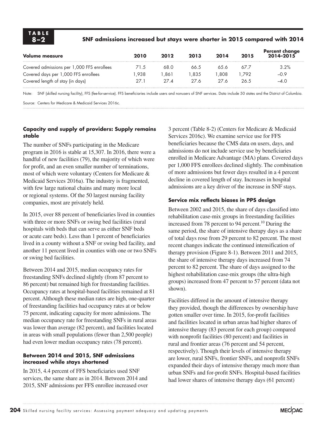#### **8–2 SNF admissions increased but stays were shorter in 2015 compared with 2014**

| Volume measure                             | 2010 | 2012         | 2013 | 2014 | 2015 | Percent change<br>2014–2015 |
|--------------------------------------------|------|--------------|------|------|------|-----------------------------|
| Covered admissions per 1,000 FFS enrollees | 71.5 | 68.0         | 66.5 | 65.6 | 67 7 | 3.2%                        |
| Covered days per 1,000 FFS enrollees       | .938 | 861.         | .835 | .808 | .792 | $-0.9$                      |
| Covered length of stay (in days)           | 27.1 | $27\,\Delta$ | 27 K | 27 K | 26.5 | $-4.0$                      |

Note: SNF (skilled nursing facility), FFS (fee-for-service). FFS beneficiaries include users and nonusers of SNF services. Data include 50 states and the District of Columbia.

Source: Centers for Medicare & Medicaid Services 2016c.

#### **Capacity and supply of providers: Supply remains stable**

The number of SNFs participating in the Medicare program in 2016 is stable at 15,307. In 2016, there were a handful of new facilities (79), the majority of which were for profit, and an even smaller number of terminations, most of which were voluntary (Centers for Medicare & Medicaid Services 2016a). The industry is fragmented, with few large national chains and many more local or regional systems. Of the 50 largest nursing facility companies, most are privately held.

In 2015, over 88 percent of beneficiaries lived in counties with three or more SNFs or swing bed facilities (rural hospitals with beds that can serve as either SNF beds or acute care beds). Less than 1 percent of beneficiaries lived in a county without a SNF or swing bed facility, and another 11 percent lived in counties with one or two SNFs or swing bed facilities.

Between 2014 and 2015, median occupancy rates for freestanding SNFs declined slightly (from 87 percent to 86 percent) but remained high for freestanding facilities. Occupancy rates at hospital-based facilities remained at 81 percent. Although these median rates are high, one-quarter of freestanding facilities had occupancy rates at or below 75 percent, indicating capacity for more admissions. The median occupancy rate for freestanding SNFs in rural areas was lower than average (82 percent), and facilities located in areas with small populations (fewer than 2,500 people) had even lower median occupancy rates (78 percent).

#### **Between 2014 and 2015, SNF admissions increased while stays shortened**

In 2015, 4.4 percent of FFS beneficiaries used SNF services, the same share as in 2014. Between 2014 and 2015, SNF admissions per FFS enrollee increased over

3 percent (Table 8-2) (Centers for Medicare & Medicaid Services 2016c). We examine service use for FFS beneficiaries because the CMS data on users, days, and admissions do not include service use by beneficiaries enrolled in Medicare Advantage (MA) plans. Covered days per 1,000 FFS enrollees declined slightly. The combination of more admissions but fewer days resulted in a 4 percent decline in covered length of stay. Increases in hospital admissions are a key driver of the increase in SNF stays.

#### **Service mix reflects biases in PPS design**

Between 2002 and 2015, the share of days classified into rehabilitation case-mix groups in freestanding facilities increased from 78 percent to 94 percent.<sup>10</sup> During the same period, the share of intensive therapy days as a share of total days rose from 29 percent to 82 percent. The most recent changes indicate the continued intensification of therapy provision (Figure 8-1). Between 2011 and 2015, the share of intensive therapy days increased from 74 percent to 82 percent. The share of days assigned to the highest rehabilitation case-mix groups (the ultra-high groups) increased from 47 percent to 57 percent (data not shown).

Facilities differed in the amount of intensive therapy they provided, though the differences by ownership have gotten smaller over time. In 2015, for-profit facilities and facilities located in urban areas had higher shares of intensive therapy (83 percent for each group) compared with nonprofit facilities (80 percent) and facilities in rural and frontier areas (76 percent and 54 percent, respectively). Though their levels of intensive therapy are lower, rural SNFs, frontier SNFs, and nonprofit SNFs expanded their days of intensive therapy much more than urban SNFs and for-profit SNFs. Hospital-based facilities had lower shares of intensive therapy days (61 percent)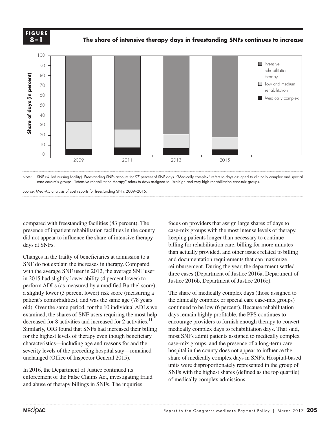

**The share of intensive therapy days in freestanding SNFs continues to increase GURE FIGURE FIGURE FIGURE** 





Source: MedPAC analysis of cost reports for freestanding SNFs 2009–2015.

compared with freestanding facilities (83 percent). The presence of inpatient rehabilitation facilities in the county did not appear to influence the share of intensive therapy days at SNFs.

Changes in the frailty of beneficiaries at admission to a SNF do not explain the increases in therapy. Compared with the average SNF user in 2012, the average SNF user in 2015 had slightly lower ability (4 percent lower) to perform ADLs (as measured by a modified Barthel score), a slightly lower (3 percent lower) risk score (measuring a patient's comorbidities), and was the same age (78 years old). Over the same period, for the 10 individual ADLs we examined, the shares of SNF users requiring the most help decreased for 8 activities and increased for 2 activities.<sup>11</sup> Similarly, OIG found that SNFs had increased their billing for the highest levels of therapy even though beneficiary characteristics—including age and reasons for and the severity levels of the preceding hospital stay—remained unchanged (Office of Inspector General 2015). **Example 20** Source: **Space of a second controller of the second of a share of a slighter of a slighter of the share of the share of the share of a slighter of the share of a hand of the severified in 201** 

In 2016, the Department of Justice continued its enforcement of the False Claims Act, investigating fraud and abuse of therapy billings in SNFs. The inquiries

focus on providers that assign large shares of days to case-mix groups with the most intense levels of therapy, keeping patients longer than necessary to continue billing for rehabilitation care, billing for more minutes than actually provided, and other issues related to billing and documentation requirements that can maximize reimbursement. During the year, the department settled three cases (Department of Justice 2016a, Department of Justice 2016b, Department of Justice 2016c).

The share of medically complex days (those assigned to the clinically complex or special care case-mix groups) continued to be low (6 percent). Because rehabilitation days remain highly profitable, the PPS continues to encourage providers to furnish enough therapy to convert medically complex days to rehabilitation days. That said, most SNFs admit patients assigned to medically complex case-mix groups, and the presence of a long-term care hospital in the county does not appear to influence the share of medically complex days in SNFs. Hospital-based units were disproportionately represented in the group of SNFs with the highest shares (defined as the top quartile) of medically complex admissions.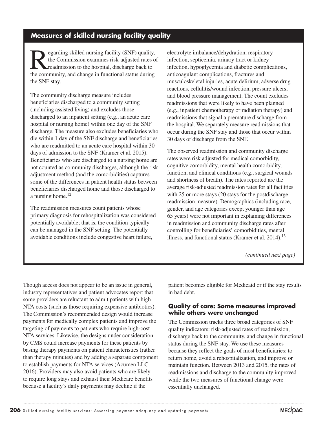# **Measures of skilled nursing facility quality**

Example of the Commission examines risk-adjusted rates of readmission to the hospital, discharge back to the community and change in functional status during the Commission examines risk-adjusted rates of readmission to the hospital, discharge back to the community, and change in functional status during the SNF stay.

The community discharge measure includes beneficiaries discharged to a community setting (including assisted living) and excludes those discharged to an inpatient setting (e.g., an acute care hospital or nursing home) within one day of the SNF discharge. The measure also excludes beneficiaries who die within 1 day of the SNF discharge and beneficiaries who are readmitted to an acute care hospital within 30 days of admission to the SNF (Kramer et al. 2015). Beneficiaries who are discharged to a nursing home are not counted as community discharges, although the risk adjustment method (and the comorbidities) captures some of the differences in patient health status between beneficiaries discharged home and those discharged to a nursing home. $^{12}$ 

The readmission measures count patients whose primary diagnosis for rehospitalization was considered potentially avoidable; that is, the condition typically can be managed in the SNF setting. The potentially avoidable conditions include congestive heart failure,

electrolyte imbalance/dehydration, respiratory infection, septicemia, urinary tract or kidney infection, hypoglycemia and diabetic complications, anticoagulant complications, fractures and musculoskeletal injuries, acute delirium, adverse drug reactions, cellulitis/wound infection, pressure ulcers, and blood pressure management. The count excludes readmissions that were likely to have been planned (e.g., inpatient chemotherapy or radiation therapy) and readmissions that signal a premature discharge from the hospital. We separately measure readmissions that occur during the SNF stay and those that occur within 30 days of discharge from the SNF.

The observed readmission and community discharge rates were risk adjusted for medical comorbidity, cognitive comorbidity, mental health comorbidity, function, and clinical conditions (e.g., surgical wounds and shortness of breath). The rates reported are the average risk-adjusted readmission rates for all facilities with 25 or more stays (20 stays for the postdischarge readmission measure). Demographics (including race, gender, and age categories except younger than age 65 years) were not important in explaining differences in readmission and community discharge rates after controlling for beneficiaries' comorbidities, mental illness, and functional status (Kramer et al.  $2014$ ).<sup>13</sup>

*(continued next page)*

Though access does not appear to be an issue in general, industry representatives and patient advocates report that some providers are reluctant to admit patients with high NTA costs (such as those requiring expensive antibiotics). The Commission's recommended design would increase payments for medically complex patients and improve the targeting of payments to patients who require high-cost NTA services. Likewise, the designs under consideration by CMS could increase payments for these patients by basing therapy payments on patient characteristics (rather than therapy minutes) and by adding a separate component to establish payments for NTA services (Acumen LLC 2016). Providers may also avoid patients who are likely to require long stays and exhaust their Medicare benefits because a facility's daily payments may decline if the

patient becomes eligible for Medicaid or if the stay results in bad debt.

#### **Quality of care: Some measures improved while others were unchanged**

The Commission tracks three broad categories of SNF quality indicators: risk-adjusted rates of readmission, discharge back to the community, and change in functional status during the SNF stay. We use these measures because they reflect the goals of most beneficiaries: to return home, avoid a rehospitalization, and improve or maintain function. Between 2013 and 2015, the rates of readmissions and discharge to the community improved while the two measures of functional change were essentially unchanged.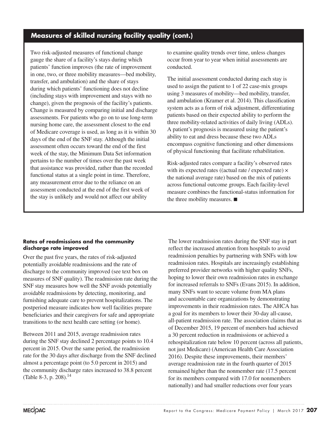# **Measures of skilled nursing facility quality (cont.)**

Two risk-adjusted measures of functional change gauge the share of a facility's stays during which patients' function improves (the rate of improvement in one, two, or three mobility measures—bed mobility, transfer, and ambulation) and the share of stays during which patients' functioning does not decline (including stays with improvement and stays with no change), given the prognosis of the facility's patients. Change is measured by comparing initial and discharge assessments. For patients who go on to use long-term nursing home care, the assessment closest to the end of Medicare coverage is used, as long as it is within 30 days of the end of the SNF stay. Although the initial assessment often occurs toward the end of the first week of the stay, the Minimum Data Set information pertains to the number of times over the past week that assistance was provided, rather than the recorded functional status at a single point in time. Therefore, any measurement error due to the reliance on an assessment conducted at the end of the first week of the stay is unlikely and would not affect our ability

to examine quality trends over time, unless changes occur from year to year when initial assessments are conducted.

The initial assessment conducted during each stay is used to assign the patient to 1 of 22 case-mix groups using 3 measures of mobility—bed mobility, transfer, and ambulation (Kramer et al. 2014). This classification system acts as a form of risk adjustment, differentiating patients based on their expected ability to perform the three mobility-related activities of daily living (ADLs). A patient's prognosis is measured using the patient's ability to eat and dress because these two ADLs encompass cognitive functioning and other dimensions of physical functioning that facilitate rehabilitation.

Risk-adjusted rates compare a facility's observed rates with its expected rates ((actual rate / expected rate)  $\times$ the national average rate) based on the mix of patients across functional outcome groups. Each facility-level measure combines the functional-status information for the three mobility measures. ■

#### **Rates of readmissions and the community discharge rate improved**

Over the past five years, the rates of risk-adjusted potentially avoidable readmissions and the rate of discharge to the community improved (see text box on measures of SNF quality). The readmission rate during the SNF stay measures how well the SNF avoids potentially avoidable readmissions by detecting, monitoring, and furnishing adequate care to prevent hospitalizations. The postperiod measure indicates how well facilities prepare beneficiaries and their caregivers for safe and appropriate transitions to the next health care setting (or home).

Between 2011 and 2015, average readmission rates during the SNF stay declined 2 percentage points to 10.4 percent in 2015. Over the same period, the readmission rate for the 30 days after discharge from the SNF declined almost a percentage point (to 5.0 percent in 2015) and the community discharge rates increased to 38.8 percent (Table 8-3, p. 208).14

The lower readmission rates during the SNF stay in part reflect the increased attention from hospitals to avoid readmission penalties by partnering with SNFs with low readmission rates. Hospitals are increasingly establishing preferred provider networks with higher quality SNFs, hoping to lower their own readmission rates in exchange for increased referrals to SNFs (Evans 2015). In addition, many SNFs want to secure volume from MA plans and accountable care organizations by demonstrating improvements in their readmission rates. The AHCA has a goal for its members to lower their 30-day all-cause, all-patient readmission rate. The association claims that as of December 2015, 19 percent of members had achieved a 30 percent reduction in readmissions or achieved a rehospitalization rate below 10 percent (across all patients, not just Medicare) (American Health Care Association 2016). Despite these improvements, their members' average readmission rate in the fourth quarter of 2015 remained higher than the nonmember rate (17.5 percent for its members compared with 17.0 for nonmembers nationally) and had smaller reductions over four years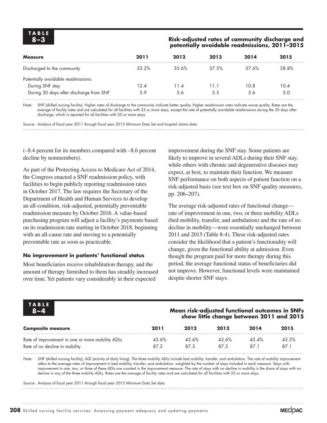#### **8–3 Risk-adjusted rates of community discharge and potentially avoidable readmissions, 2011–2015**

| <b>Measure</b>                          | 2011  | 2012     | 2013  | 2014  | 2015  |
|-----------------------------------------|-------|----------|-------|-------|-------|
| Discharged to the community             | 33.2% | $35.6\%$ | 37.5% | 37.6% | 38.8% |
| Potentially avoidable readmissions:     |       |          |       |       |       |
| During SNF stay                         | 12.4  | 1.4      | 11.1  | 10.8  | 10.4  |
| During 30 days after discharge from SNF | 5.9   | 5.6      | 55    | 56    | 5.0   |

Note: SNF (skilled nursing facility). Higher rates of discharge to the community indicate better quality. Higher readmission rates indicate worse quality. Rates are the average of facility rates and are calculated for all facilities with 25 or more stays, except the rate of potentially avoidable readmissions during the 30 days after discharge, which is reported for all facilities with 20 or more stays.

Source: Analysis of fiscal year 2011 through fiscal year 2015 Minimum Data Set and hospital claims data.

(–8.4 percent for its members compared with –8.6 percent decline by nonmembers).

As part of the Protecting Access to Medicare Act of 2014, the Congress enacted a SNF readmission policy, with facilities to begin publicly reporting readmission rates in October 2017. The law requires the Secretary of the Department of Health and Human Services to develop an all-condition, risk-adjusted, potentially preventable readmission measure by October 2016. A value-based purchasing program will adjust a facility's payments based on its readmission rate starting in October 2018, beginning with an all-cause rate and moving to a potentially preventable rate as soon as practicable.

#### **No improvement in patients' functional status**

Most beneficiaries receive rehabilitation therapy, and the amount of therapy furnished to them has steadily increased over time. Yet patients vary considerably in their expected

improvement during the SNF stay. Some patients are likely to improve in several ADLs during their SNF stay, while others with chronic and degenerative diseases may expect, at best, to maintain their function. We measure SNF performance on both aspects of patient function on a risk-adjusted basis (see text box on SNF quality measures, pp. 206–207).

The average risk-adjusted rates of functional change rate of improvement in one, two, or three mobility ADLs (bed mobility, transfer, and ambulation) and the rate of no decline in mobility—were essentially unchanged between 2011 and 2015 (Table 8-4). These risk-adjusted rates consider the likelihood that a patient's functionality will change, given the functional ability at admission. Even though the program paid for more therapy during this period, the average functional status of beneficiaries did not improve. However, functional levels were maintained despite shorter SNF stays.

| <b>TABLE</b>                                     | Mean risk-adjusted functional outcomes in SNFs |       |       |          |       |  |  |
|--------------------------------------------------|------------------------------------------------|-------|-------|----------|-------|--|--|
| $8 - 4$                                          | show little change between 2011 and 2015       |       |       |          |       |  |  |
| <b>Composite measure</b>                         | 2011                                           | 2012  | 2013  | 2014     | 2015  |  |  |
| Rate of improvement in one or more mobility ADLs | 43.6%                                          | 43.6% | 43.6% | $43.4\%$ | 43.5% |  |  |
| Rate of no decline in mobility                   | 872                                            | 873   | 872   | 871      | 87 1  |  |  |

Note: SNF (skilled nursing facility), ADL (activity of daily living). The three mobility ADLs include bed mobility, transfer, and ambulation. The rate of mobility improvement refers to the average rates of improvement in bed mobility, transfer, and ambulation, weighted by the number of stays included in each measure. Stays with improvement in one, two, or three of these ADLs are counted in the improvement measure. The rate of stays with no decline in mobility is the share of stays with no decline in any of the three mobility ADLs. Rates are the average of facility rates and are calculated for all facilities with 25 or more stays.

Source: Analysis of fiscal year 2011 through fiscal year 2015 Minimum Data Set data.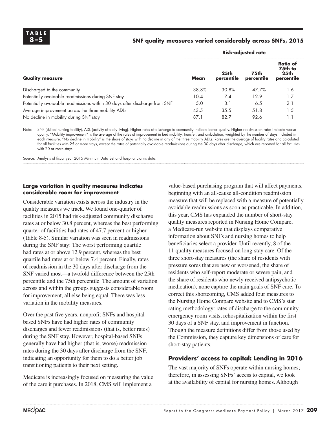**TABLE**

#### **8–5 SNF quality measures varied considerably across SNFs, 2015**

|                                                                            | <b>Risk-adjusted rate</b> |                                |                    |                                                       |  |  |
|----------------------------------------------------------------------------|---------------------------|--------------------------------|--------------------|-------------------------------------------------------|--|--|
| <b>Quality measure</b>                                                     | Mean                      | 25 <sub>th</sub><br>percentile | 75th<br>percentile | Ratio of<br>75th to<br>25 <sub>th</sub><br>percentile |  |  |
| Discharged to the community                                                | 38.8%                     | 30.8%                          | 47 7%              | .6                                                    |  |  |
| Potentially avoidable readmissions during SNF stay                         | 10.4                      | 7.4                            | 12.9               |                                                       |  |  |
| Potentially avoidable readmissions within 30 days after discharge from SNF | 5.0                       | 3.1                            | 6.5                | 2.1                                                   |  |  |
| Average improvement across the three mobility ADLs                         | 43.5                      | 35.5                           | 51.8               | .5                                                    |  |  |
| No decline in mobility during SNF stay                                     | 87.1                      | 82.7                           | 92.6               |                                                       |  |  |

Note: SNF (skilled nursing facility), ADL (activity of daily living). Higher rates of discharge to community indicate better quality. Higher readmission rates indicate worse quality. "Mobility improvement" is the average of the rates of improvement in bed mobility, transfer, and ambulation, weighted by the number of stays included in each measure. "No decline in mobility" is the share of stays with no decline in any of the three mobility ADLs. Rates are the average of facility rates and calculated for all facilities with 25 or more stays, except the rates of potentially avoidable readmissions during the 30 days after discharge, which are reported for all facilities with 20 or more stays.

Source: Analysis of fiscal year 2015 Minimum Data Set and hospital claims data.

#### **Large variation in quality measures indicates considerable room for improvement**

Considerable variation exists across the industry in the quality measures we track. We found one-quarter of facilities in 2015 had risk-adjusted community discharge rates at or below 30.8 percent, whereas the best performing quarter of facilities had rates of 47.7 percent or higher (Table 8-5). Similar variation was seen in readmissions during the SNF stay: The worst performing quartile had rates at or above 12.9 percent, whereas the best quartile had rates at or below 7.4 percent. Finally, rates of readmission in the 30 days after discharge from the SNF varied most—a twofold difference between the 25th percentile and the 75th percentile. The amount of variation across and within the groups suggests considerable room for improvement, all else being equal. There was less variation in the mobility measures.

Over the past five years, nonprofit SNFs and hospitalbased SNFs have had higher rates of community discharges and fewer readmissions (that is, better rates) during the SNF stay. However, hospital-based SNFs generally have had higher (that is, worse) readmission rates during the 30 days after discharge from the SNF, indicating an opportunity for them to do a better job transitioning patients to their next setting.

Medicare is increasingly focused on measuring the value of the care it purchases. In 2018, CMS will implement a

value-based purchasing program that will affect payments, beginning with an all-cause all-condition readmission measure that will be replaced with a measure of potentially avoidable readmissions as soon as practicable. In addition, this year, CMS has expanded the number of short-stay quality measures reported in Nursing Home Compare, a Medicare-run website that displays comparative information about SNFs and nursing homes to help beneficiaries select a provider. Until recently, 8 of the 11 quality measures focused on long-stay care. Of the three short-stay measures (the share of residents with pressure sores that are new or worsened, the share of residents who self-report moderate or severe pain, and the share of residents who newly received antipsychotic medication), none capture the main goals of SNF care. To correct this shortcoming, CMS added four measures to the Nursing Home Compare website and to CMS's star rating methodology: rates of discharge to the community, emergency room visits, rehospitalization within the first 30 days of a SNF stay, and improvement in function. Though the measure definitions differ from those used by the Commission, they capture key dimensions of care for short-stay patients.

#### **Providers' access to capital: Lending in 2016**

The vast majority of SNFs operate within nursing homes; therefore, in assessing SNFs' access to capital, we look at the availability of capital for nursing homes. Although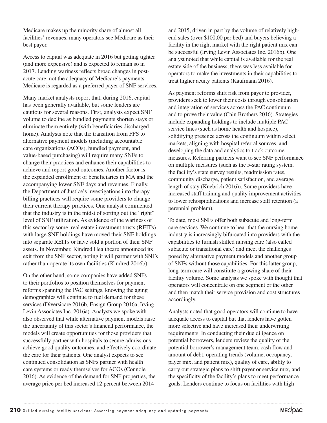Medicare makes up the minority share of almost all facilities' revenues, many operators see Medicare as their best payer.

Access to capital was adequate in 2016 but getting tighter (and more expensive) and is expected to remain so in 2017. Lending wariness reflects broad changes in postacute care, not the adequacy of Medicare's payments. Medicare is regarded as a preferred payer of SNF services.

Many market analysts report that, during 2016, capital has been generally available, but some lenders are cautious for several reasons. First, analysts expect SNF volume to decline as bundled payments shorten stays or eliminate them entirely (with beneficiaries discharged home). Analysts note that the transition from FFS to alternative payment models (including accountable care organizations (ACOs), bundled payment, and value-based purchasing) will require many SNFs to change their practices and enhance their capabilities to achieve and report good outcomes. Another factor is the expanded enrollment of beneficiaries in MA and the accompanying lower SNF days and revenues. Finally, the Department of Justice's investigations into therapy billing practices will require some providers to change their current therapy practices. One analyst commented that the industry is in the midst of sorting out the "right" level of SNF utilization. As evidence of the wariness of this sector by some, real estate investment trusts (REITs) with large SNF holdings have moved their SNF holdings into separate REITs or have sold a portion of their SNF assets. In November, Kindred Healthcare announced its exit from the SNF sector, noting it will partner with SNFs rather than operate its own facilities (Kindred 2016b).

On the other hand, some companies have added SNFs to their portfolios to position themselves for payment reforms spanning the PAC settings, knowing the aging demographics will continue to fuel demand for these services (Diversicare 2016b, Ensign Group 2016a, Irving Levin Associates Inc. 2016a). Analysts we spoke with also observed that while alternative payment models raise the uncertainty of this sector's financial performance, the models will create opportunities for those providers that successfully partner with hospitals to secure admissions, achieve good quality outcomes, and effectively coordinate the care for their patients. One analyst expects to see continued consolidation as SNFs partner with health care systems or ready themselves for ACOs (Connole 2016). As evidence of the demand for SNF properties, the average price per bed increased 12 percent between 2014

and 2015, driven in part by the volume of relatively highend sales (over \$100,00 per bed) and buyers believing a facility in the right market with the right patient mix can be successful (Irving Levin Associates Inc. 2016b). One analyst noted that while capital is available for the real estate side of the business, there was less available for operators to make the investments in their capabilities to treat higher acuity patients (Kaufmann 2016).

As payment reforms shift risk from payer to provider, providers seek to lower their costs through consolidation and integration of services across the PAC continuum and to prove their value (Cain Brothers 2016). Strategies include expanding holdings to include multiple PAC service lines (such as home health and hospice), solidifying presence across the continuum within select markets, aligning with hospital referral sources, and developing the data and analytics to track outcome measures. Referring partners want to see SNF performance on multiple measures (such as the 5-star rating system, the facility's state survey results, readmission rates, community discharge, patient satisfaction, and average length of stay (Kuebrich 2016)). Some providers have increased staff training and quality improvement activities to lower rehospitalizations and increase staff retention (a perennial problem).

To date, most SNFs offer both subacute and long-term care services. We continue to hear that the nursing home industry is increasingly bifurcated into providers with the capabilities to furnish skilled nursing care (also called subacute or transitional care) and meet the challenges posed by alternative payment models and another group of SNFs without those capabilities. For this latter group, long-term care will constitute a growing share of their facility volume. Some analysts we spoke with thought that operators will concentrate on one segment or the other and then match their service provision and cost structures accordingly.

Analysts noted that good operators will continue to have adequate access to capital but that lenders have gotten more selective and have increased their underwriting requirements. In conducting their due diligence on potential borrowers, lenders review the quality of the potential borrower's management team, cash flow and amount of debt, operating trends (volume, occupancy, payer mix, and patient mix), quality of care, ability to carry out strategic plans to shift payer or service mix, and the specificity of the facility's plans to meet performance goals. Lenders continue to focus on facilities with high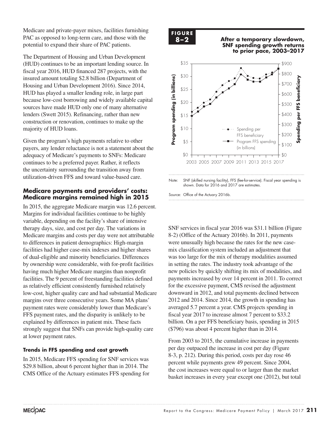Medicare and private-payer mixes, facilities furnishing PAC as opposed to long-term care, and those with the potential to expand their share of PAC patients.

The Department of Housing and Urban Development (HUD) continues to be an important lending source. In fiscal year 2016, HUD financed 287 projects, with the insured amount totaling \$2.8 billion (Department of Housing and Urban Development 2016). Since 2014, HUD has played a smaller lending role, in large part because low-cost borrowing and widely available capital sources have made HUD only one of many alternative lenders (Swett 2015). Refinancing, rather than new construction or renovation, continues to make up the majority of HUD loans.

Given the program's high payments relative to other payers, any lender reluctance is not a statement about the adequacy of Medicare's payments to SNFs: Medicare continues to be a preferred payer. Rather, it reflects the uncertainty surrounding the transition away from utilization-driven FFS and toward value-based care.

#### **Medicare payments and providers' costs: Medicare margins remained high in 2015**

In 2015, the aggregate Medicare margin was 12.6 percent. Margins for individual facilities continue to be highly variable, depending on the facility's share of intensive therapy days, size, and cost per day. The variations in Medicare margins and costs per day were not attributable to differences in patient demographics: High-margin facilities had higher case-mix indexes and higher shares of dual-eligible and minority beneficiaries. Differences by ownership were considerable, with for-profit facilities having much higher Medicare margins than nonprofit facilities. The 9 percent of freestanding facilities defined as relatively efficient consistently furnished relatively low-cost, higher quality care and had substantial Medicare margins over three consecutive years. Some MA plans' payment rates were considerably lower than Medicare's FFS payment rates, and the disparity is unlikely to be explained by differences in patient mix. These facts strongly suggest that SNFs can provide high-quality care at lower payment rates.

#### **Trends in FFS spending and cost growth**

In 2015, Medicare FFS spending for SNF services was \$29.8 billion, about 6 percent higher than in 2014. The CMS Office of the Actuary estimates FFS spending for

# **FIGURE**

**X-X**

**8–2 After a temporary slowdown, S-2** Arter a remporary slowabwn,<br>SNF spending growth returns  **to prior pace, 2003–2017**



Note: SNF (skilled nursing facility), FFS (fee-for-service). Fiscal year spending is shown. Data for 2016 and 2017 are estimates.

Source: Office of the Actuary 2016b.

SNF services in fiscal year 2016 was \$31.1 billion (Figure 8-2) (Office of the Actuary 2016b). In 2011, payments were unusually high because the rates for the new casemix classification system included an adjustment that was too large for the mix of therapy modalities assumed in setting the rates. The industry took advantage of the In setting the rates. The mutustry took advantage of the new policies by quickly shifting its mix of modalities, and payments increased by over 14 percent in 2011. To correct for the excessive payment, CMS revised the adjustment downward in 2012, and total payments declined between 2012 and 2014. Since 2014, the growth in spending has averaged 5.7 percent a year. CMS projects spending in fiscal year 2017 to increase almost 7 percent to \$33.2 billion. On a per FFS beneficiary basis, spending in 2015 (\$796) was about 4 percent higher than in 2014.

From 2003 to 2015, the cumulative increase in payments per day outpaced the increase in cost per day (Figure 8-3, p. 212). During this period, costs per day rose 46 percent while payments grew 49 percent. Since 2004, the cost increases were equal to or larger than the market basket increases in every year except one (2012), but total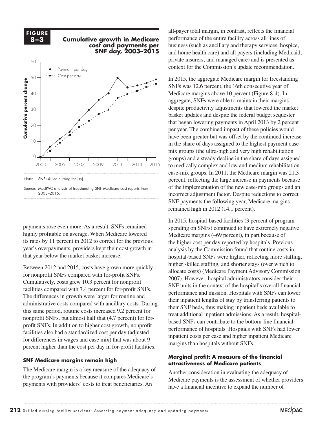**FIGURE**  $\overline{8-3}$ 

# **8–3 Cumulative growth in Medicare cost and payments per SNF day, 2003–2015 Cumulative growth in Medicare**



payments rose even more. As a result, SNFs remained highly profitable on average. When Medicare lowered its rates by 11 percent in 2012 to correct for the previous year's overpayments, providers kept their cost growth in that year below the market basket increase.

Between 2012 and 2015, costs have grown more quickly For nonprofit SNFs compared with for-profit SNFs. allocate costs) (M<br>
<sup>2007</sup> Herman is in the data in the data is in the data in the data is in the data of the data sheet. Cumulatively, costs grew 10.3 percent for nonprofit  $\sum_{\text{SME unit in the context of the horizontal}}$ facilities compared with 7.4 percent for for-profit SNFs. The differences in growth were larger for routine and administrative costs compared with ancillary costs. During this same period, routine costs increased  $9.2$  percent for nonprofit SNFs, but almost half that  $(4.7 \text{ percent})$  for forprofit SNFs. In addition to higher cost growth, nonprofit facilities also had a standardized cost per day (adjusted for differences in wages and case mix) that was about 9 percent higher than the cost per day in for-profit facilities.

#### **SNF Medicare margins remain high**

The Medicare margin is a key measure of the adequacy of the program's payments because it compares Medicare's payments with providers' costs to treat beneficiaries. An

all-payer total margin, in contrast, reflects the financial performance of the entire facility across all lines of business (such as ancillary and therapy services, hospice, and home health care) and all payers (including Medicaid, private insurers, and managed care) and is presented as context for the Commission's update recommendation.

In 2015, the aggregate Medicare margin for freestanding SNFs was 12.6 percent, the 16th consecutive year of Medicare margins above 10 percent (Figure 8-4). In aggregate, SNFs were able to maintain their margins despite productivity adjustments that lowered the market basket updates and despite the federal budget sequester that began lowering payments in April 2013 by 2 percent per year. The combined impact of these policies would have been greater but was offset by the continued increase in the share of days assigned to the highest payment casemix groups (the ultra-high and very high rehabilitation groups) and a steady decline in the share of days assigned to medically complex and low and medium rehabilitation case-mix groups. In 2011, the Medicare margin was 21.3 percent, reflecting the large increase in payments because of the implementation of the new case-mix groups and an incorrect adjustment factor. Despite reductions to correct SNF payments the following year, Medicare margins remained high in 2012 (14.1 percent).

In 2015, hospital-based facilities (3 percent of program spending on SNFs) continued to have extremely negative Medicare margins (–69 percent), in part because of the higher cost per day reported by hospitals. Previous analysis by the Commission found that routine costs in hospital-based SNFs were higher, reflecting more staffing, higher skilled staffing, and shorter stays (over which to allocate costs) (Medicare Payment Advisory Commission 2007). However, hospital administrators consider their SNF units in the context of the hospital's overall financial pared with 1.4 percent for for-profit SNFs.<br>
performance and mission. Hospitals with SNFs can lower exted to the selection to select to to select selection to their inpatient lengths of stay by transferring patients to select selection to their inpatient lengths of stay by transferring patients to their SNF beds, thus making inpatient beds available to treat additional inpatient admissions. As a result, hospitalbased SNFs can contribute to the bottom-line financial performance of hospitals: Hospitals with SNFs had lower inpatient costs per case and higher inpatient Medicare margins than hospitals without SNFs.

#### **Marginal profit: A measure of the financial attractiveness of Medicare patients**

Another consideration in evaluating the adequacy of Medicare payments is the assessment of whether providers have a financial incentive to expand the number of

Source: MedPAC analysis of freestanding SNF Medicare cost reports from 2003–2015.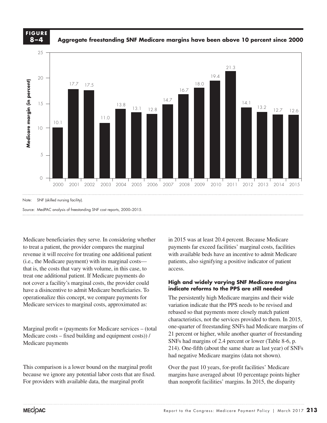#### **FIGURE X-X FIGURE 8–4**

**Aggregate freestanding SNF Medicare margins have been above 10 percent since 2000**



Medicare beneficiaries they serve. In considering whether to treat a patient, the provider compares the marginal revenue it will receive for treating one additional patient (i.e., the Medicare payment) with its marginal costs that is, the costs that vary with volume, in this case, to treat one additional patient. If Medicare payments do not cover a facility's marginal costs, the provider could have a disincentive to admit Medicare beneficiaries. To **indicate ref** operationalize this concept, we compare payments for operationalize this concept, we compare payments for the persistently high<br>Medicare services to marginal costs, approximated as: variation indicate that

Marginal profit = (payments for Medicare services – (total one-quarter of freestand Medicare costs – fixed building and equipment costs)) / Medicare payments  $\alpha$  fault when  $\alpha$ 

 $\mathcal{F}$  and  $\mathcal{F}$  added manually.

This comparison is a lower bound on the marginal profit Over the past 10 years, for-profit facil because we ignore any potential labor costs that are fixed. For providers with available data, the marginal profit

in 2015 was at least 20.4 percent. Because Medicare payments far exceed facilities' marginal costs, facilities with available beds have an incentive to admit Medicare patients, also signifying a positive indicator of patient access.

**Freestanding Medicare margins....**

#### **High and widely varying SNF Medicare margins indicate reforms to the PPS are still needed**

The persistently high Medicare margins and their wide variation indicate that the PPS needs to be revised and rebased so that payments more closely match patient characteristics, not the services provided to them. In 2015, one-quarter of freestanding SNFs had Medicare margins of 21 percent or higher, while another quarter of freestanding  $\frac{1}{2}$  SNFs had margins of 2.4 percent or lower (Table 8-6, p. 214). One-fifth (about the same share as last year) of SNFs had negative Medicare margins (data not shown).  $\mathbf{h}$  and  $\mathbf{n}$ 

> Over the past 10 years, for-profit facilities' Medicare margins have averaged about 10 percentage points higher than nonprofit facilities' margins. In 2015, the disparity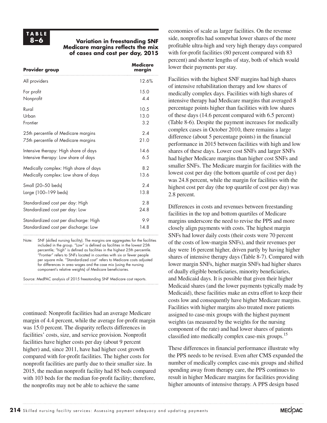# **TABLE**

#### **8–6 Variation in freestanding SNF Medicare margins reflects the mix of cases and cost per day, 2015**

| <b>Provider group</b>                 | Medicare<br>margin |
|---------------------------------------|--------------------|
| All providers                         | 12.6%              |
| For profit                            | 15.0               |
| Nonprofit                             | 4.4                |
| Rural                                 | 10.5               |
| Urban                                 | 13.0               |
| Frontier                              | 3.2                |
| 25th percentile of Medicare margins   | 24                 |
| 75th percentile of Medicare margins   | 21.0               |
| Intensive therapy: High share of days | 14.6               |
| Intensive therapy: Low share of days  | 6.5                |
| Medically complex: High share of days | 8.2                |
| Medically complex: Low share of days  | 13.6               |
| Small (20-50 beds)                    | 2.4                |
| Large (100-199 beds)                  | 13.8               |
| Standardized cost per day: High       | 2.8                |
| Standardized cost per day: Low        | 24.8               |
| Standardized cost per discharge: High | 9.9                |
| Standardized cost per discharge: Low  | 14.8               |

Note: SNF (skilled nursing facility). The margins are aggregates for the facilities included in the group. "Low" is defined as facilities in the lowest 25th percentile; "high" is defined as facilities in the highest 25th percentile. "Frontier" refers to SNFs located in counties with six or fewer people per square mile. "Standardized cost" refers to Medicare costs adjusted for differences in area wages and the case mix (using the nursing component's relative weights) of Medicare beneficiaries.

Source: MedPAC analysis of 2015 freestanding SNF Medicare cost reports.

continued: Nonprofit facilities had an average Medicare margin of 4.4 percent, while the average for-profit margin was 15.0 percent. The disparity reflects differences in facilities' costs, size, and service provision. Nonprofit facilities have higher costs per day (about 9 percent higher) and, since 2011, have had higher cost growth compared with for-profit facilities. The higher costs for nonprofit facilities are partly due to their smaller size. In 2015, the median nonprofit facility had 85 beds compared with 103 beds for the median for-profit facility; therefore, the nonprofits may not be able to achieve the same

economies of scale as larger facilities. On the revenue side, nonprofits had somewhat lower shares of the more profitable ultra-high and very high therapy days compared with for-profit facilities (80 percent compared with 83 percent) and shorter lengths of stay, both of which would lower their payments per stay.

Facilities with the highest SNF margins had high shares of intensive rehabilitation therapy and low shares of medically complex days. Facilities with high shares of intensive therapy had Medicare margins that averaged 8 percentage points higher than facilities with low shares of these days (14.6 percent compared with 6.5 percent) (Table 8-6). Despite the payment increases for medically complex cases in October 2010, there remains a large difference (about 5 percentage points) in the financial performance in 2015 between facilities with high and low shares of these days. Lower cost SNFs and larger SNFs had higher Medicare margins than higher cost SNFs and smaller SNFs. The Medicare margin for facilities with the lowest cost per day (the bottom quartile of cost per day) was 24.8 percent, while the margin for facilities with the highest cost per day (the top quartile of cost per day) was 2.8 percent.

Differences in costs and revenues between freestanding facilities in the top and bottom quartiles of Medicare margins underscore the need to revise the PPS and more closely align payments with costs. The highest margin SNFs had lower daily costs (their costs were 70 percent of the costs of low-margin SNFs), and their revenues per day were 16 percent higher, driven partly by having higher shares of intensive therapy days (Table 8-7). Compared with lower margin SNFs, higher margin SNFs had higher shares of dually eligible beneficiaries, minority beneficiaries, and Medicaid days. It is possible that given their higher Medicaid shares (and the lower payments typically made by Medicaid), these facilities make an extra effort to keep their costs low and consequently have higher Medicare margins. Facilities with higher margins also treated more patients assigned to case-mix groups with the highest payment weights (as measured by the weights for the nursing component of the rate) and had lower shares of patients classified into medically complex case-mix groups.15

These differences in financial performance illustrate why the PPS needs to be revised. Even after CMS expanded the number of medically complex case-mix groups and shifted spending away from therapy care, the PPS continues to result in higher Medicare margins for facilities providing higher amounts of intensive therapy. A PPS design based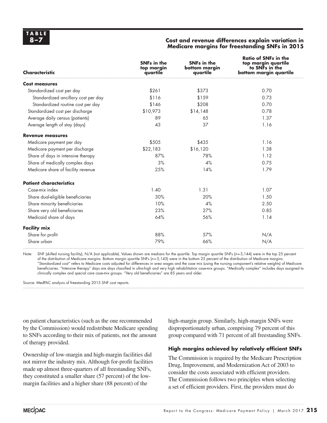#### **8–7 Cost and revenue differences explain variation in Medicare margins for freestanding SNFs in 2015**

| <b>Characteristic</b>               | <b>SNFs in the</b><br>top margin<br>quartile | <b>SNFs in the</b><br>bottom margin<br>quartile | <b>Ratio of SNFs in the</b><br>top margin quartile<br>to SNFs in the<br>bottom margin quartile |
|-------------------------------------|----------------------------------------------|-------------------------------------------------|------------------------------------------------------------------------------------------------|
| <b>Cost measures</b>                |                                              |                                                 |                                                                                                |
| Standardized cost per day           | \$261                                        | \$373                                           | 0.70                                                                                           |
| Standardized ancillary cost per day | \$116                                        | \$159                                           | 0.73                                                                                           |
| Standardized routine cost per day   | \$146                                        | \$208                                           | 0.70                                                                                           |
| Standardized cost per discharge     | \$10,973                                     | \$14,148                                        | 0.78                                                                                           |
| Average daily census (patients)     | 89                                           | 65                                              | 1.37                                                                                           |
| Average length of stay (days)       | 43                                           | 37                                              | 1.16                                                                                           |
| <b>Revenue measures</b>             |                                              |                                                 |                                                                                                |
| Medicare payment per day            | \$505                                        | \$435                                           | 1.16                                                                                           |
| Medicare payment per discharge      | \$22,183                                     | \$16,120                                        | 1.38                                                                                           |
| Share of days in intensive therapy  | 87%                                          | 78%                                             | 1.12                                                                                           |
| Share of medically complex days     | 3%                                           | 4%                                              | 0.75                                                                                           |
| Medicare share of facility revenue  | 25%                                          | 14%                                             | 1.79                                                                                           |
| <b>Patient characteristics</b>      |                                              |                                                 |                                                                                                |
| Case-mix index                      | 1.40                                         | 1.31                                            | 1.07                                                                                           |
| Share dual-eligible beneficiaries   | 30%                                          | 20%                                             | 1.50                                                                                           |
| Share minority beneficiaries        | 10%                                          | 4%                                              | 2.50                                                                                           |
| Share very old beneficiaries        | 23%                                          | 27%                                             | 0.85                                                                                           |
| Medicaid share of days              | 64%                                          | 56%                                             | 1.14                                                                                           |
| <b>Facility mix</b>                 |                                              |                                                 |                                                                                                |
| Share for profit                    | 88%                                          | 57%                                             | N/A                                                                                            |
| Share urban                         | 79%                                          | 66%                                             | N/A                                                                                            |

Note: SNF (skilled nursing facility), N/A (not applicable). Values shown are medians for the quartile. Top margin quartile SNFs (*n*=3,144) were in the top 25 percent of the distribution of Medicare margins. Bottom margin quartile SNFs (*n*=3,143) were in the bottom 25 percent of the distribution of Medicare margins. "Standardized cost" refers to Medicare costs adjusted for differences in area wages and the case mix (using the nursing component's relative weights) of Medicare beneficiaries. "Intensive therapy" days are days classified in ultra-high and very high rehabilitation case-mix groups. "Medically complex" includes days assigned to clinically complex and special care case-mix groups. "Very old beneficiaries" are 85 years and older.

Source: MedPAC analysis of freestanding 2015 SNF cost reports.

on patient characteristics (such as the one recommended by the Commission) would redistribute Medicare spending to SNFs according to their mix of patients, not the amount of therapy provided.

Ownership of low-margin and high-margin facilities did not mirror the industry mix. Although for-profit facilities made up almost three-quarters of all freestanding SNFs, they constituted a smaller share (57 percent) of the lowmargin facilities and a higher share (88 percent) of the

high-margin group. Similarly, high-margin SNFs were disproportionately urban, comprising 79 percent of this group compared with 71 percent of all freestanding SNFs.

#### **High margins achieved by relatively efficient SNFs**

The Commission is required by the Medicare Prescription Drug, Improvement, and Modernization Act of 2003 to consider the costs associated with efficient providers. The Commission follows two principles when selecting a set of efficient providers. First, the providers must do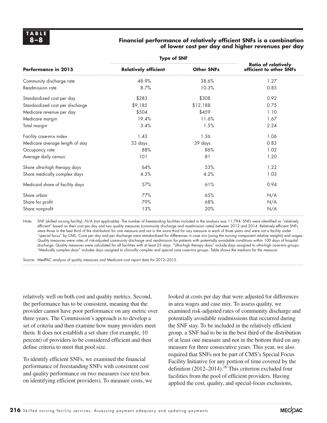#### **8–8 Financial performance of relatively efficient SNFs is a combination of lower cost per day and higher revenues per day**

|                                 | <b>Type of SNF</b>          |                   |                                                       |
|---------------------------------|-----------------------------|-------------------|-------------------------------------------------------|
| Performance in 2015             | <b>Relatively efficient</b> | <b>Other SNFs</b> | <b>Ratio of relatively</b><br>efficient to other SNFs |
| Community discharge rate        | 48.9%                       | 38.6%             | 1.27                                                  |
| Readmission rate                | 8.7%                        | 10.3%             | 0.85                                                  |
| Standardized cost per day       | \$283                       | \$308             | 0.92                                                  |
| Standardized cost per discharge | \$9,185                     | \$12,188          | 0.75                                                  |
| Medicare revenue per day        | \$504                       | \$459             | 1.10                                                  |
| Medicare margin                 | 19.4%                       | 11.6%             | 1.67                                                  |
| Total margin                    | 3.4%                        | 1.5%              | 2.24                                                  |
| Facility case-mix index         | 1.43                        | 1.36              | 1.06                                                  |
| Medicare average length of stay | 33 days                     | 39 days           | 0.83                                                  |
| Occupancy rate                  | 88%                         | 86%               | 1.02                                                  |
| Average daily census            | 101                         | 81                | 1.20                                                  |
| Share ultra-high therapy days   | 64%                         | 53%               | 1.22                                                  |
| Share medically complex days    | 4.3%                        | 4.2%              | 1.03                                                  |
| Medicaid share of facility days | 57%                         | 61%               | 0.94                                                  |
| Share urban                     | 77%                         | 65%               | N/A                                                   |
| Share for profit                | 79%                         | 68%               | N/A                                                   |
| Share nonprofit                 | 13%                         | 20%               | N/A                                                   |

Note: SNF (skilled nursing facility), N/A (not applicable). The number of freestanding facilities included in the analysis was 11,794. SNFs were identified as "relatively efficient" based on their cost per day and two quality measures (community discharge and readmission rates) between 2012 and 2014. Relatively efficient SNFs were those in the best third of the distribution for one measure and not in the worst third for any measure in each of three years and were not a facility under "special focus" by CMS. Costs per day and per discharge were standardized for differences in case mix (using the nursing component relative weights) and wages. Quality measures were rates of risk-adjusted community discharge and readmission for patients with potentially avoidable conditions within 100 days of hospital discharge. Quality measures were calculated for all facilities with at least 25 stays. "Ultra-high therapy days" include days assigned to ultra-high case-mix groups. "Medically complex days" includes days assigned to clinically complex and special care case-mix groups. Table shows the medians for the measure.

Source: MedPAC analysis of quality measures and Medicare cost report data for 2012–2015.

relatively well on both cost and quality metrics. Second, the performance has to be consistent, meaning that the provider cannot have poor performance on any metric over three years. The Commission's approach is to develop a set of criteria and then examine how many providers meet them. It does not establish a set share (for example, 10 percent) of providers to be considered efficient and then define criteria to meet that pool size.

To identify efficient SNFs, we examined the financial performance of freestanding SNFs with consistent cost and quality performance on two measures (see text box on identifying efficient providers). To measure costs, we looked at costs per day that were adjusted for differences in area wages and case mix. To assess quality, we examined risk-adjusted rates of community discharge and potentially avoidable readmissions that occurred during the SNF stay. To be included in the relatively efficient group, a SNF had to be in the best third of the distribution of at least one measure and not in the bottom third on any measure for three consecutive years. This year, we also required that SNFs not be part of CMS's Special Focus Facility Initiative for any portion of time covered by the definition  $(2012-2014)$ .<sup>16</sup> This criterion excluded four facilities from the pool of efficient providers. Having applied the cost, quality, and special-focus exclusions,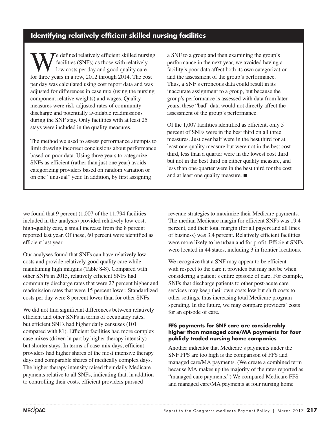# **Identifying relatively efficient skilled nursing facilities**

We defined relatively efficient skilled nursing<br>facilities (SNFs) as those with relatively<br>low costs per day and good quality care<br>for three years in a row 2012 through 2014. The cost facilities (SNFs) as those with relatively low costs per day and good quality care for three years in a row, 2012 through 2014. The cost per day was calculated using cost report data and was adjusted for differences in case mix (using the nursing component relative weights) and wages. Quality measures were risk-adjusted rates of community discharge and potentially avoidable readmissions during the SNF stay. Only facilities with at least 25 stays were included in the quality measures.

The method we used to assess performance attempts to limit drawing incorrect conclusions about performance based on poor data. Using three years to categorize SNFs as efficient (rather than just one year) avoids categorizing providers based on random variation or on one "unusual" year. In addition, by first assigning

a SNF to a group and then examining the group's performance in the next year, we avoided having a facility's poor data affect both its own categorization and the assessment of the group's performance. Thus, a SNF's erroneous data could result in its inaccurate assignment to a group, but because the group's performance is assessed with data from later years, these "bad" data would not directly affect the assessment of the group's performance.

Of the 1,007 facilities identified as efficient, only 5 percent of SNFs were in the best third on all three measures. Just over half were in the best third for at least one quality measure but were not in the best cost third, less than a quarter were in the lowest cost third but not in the best third on either quality measure, and less than one-quarter were in the best third for the cost and at least one quality measure. ■

we found that 9 percent (1,007 of the 11,794 facilities included in the analysis) provided relatively low-cost, high-quality care, a small increase from the 8 percent reported last year. Of these, 60 percent were identified as efficient last year.

Our analyses found that SNFs can have relatively low costs and provide relatively good quality care while maintaining high margins (Table 8-8). Compared with other SNFs in 2015, relatively efficient SNFs had community discharge rates that were 27 percent higher and readmission rates that were 15 percent lower. Standardized costs per day were 8 percent lower than for other SNFs.

We did not find significant differences between relatively efficient and other SNFs in terms of occupancy rates, but efficient SNFs had higher daily censuses (101 compared with 81). Efficient facilities had more complex case mixes (driven in part by higher therapy intensity) but shorter stays. In terms of case-mix days, efficient providers had higher shares of the most intensive therapy days and comparable shares of medically complex days. The higher therapy intensity raised their daily Medicare payments relative to all SNFs, indicating that, in addition to controlling their costs, efficient providers pursued

revenue strategies to maximize their Medicare payments. The median Medicare margin for efficient SNFs was 19.4 percent, and their total margin (for all payers and all lines of business) was 3.4 percent. Relatively efficient facilities were more likely to be urban and for profit. Efficient SNFs were located in 44 states, including 3 in frontier locations.

We recognize that a SNF may appear to be efficient with respect to the care it provides but may not be when considering a patient's entire episode of care. For example, SNFs that discharge patients to other post-acute care services may keep their own costs low but shift costs to other settings, thus increasing total Medicare program spending. In the future, we may compare providers' costs for an episode of care.

#### **FFS payments for SNF care are considerably higher than managed care/MA payments for four publicly traded nursing home companies**

Another indicator that Medicare's payments under the SNF PPS are too high is the comparison of FFS and managed care/MA payments. (We create a combined term because MA makes up the majority of the rates reported as "managed care payments.") We compared Medicare FFS and managed care/MA payments at four nursing home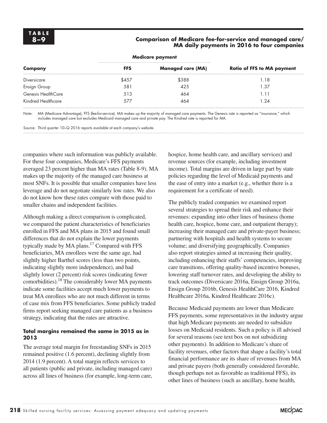#### **8–9 Comparison of Medicare fee-for-service and managed care/ MA daily payments in 2016 to four companies**

|                    |            | Medicare payment         |                                   |
|--------------------|------------|--------------------------|-----------------------------------|
| Company            | <b>FFS</b> | <b>Managed care (MA)</b> | <b>Ratio of FFS to MA payment</b> |
| Diversicare        | \$457      | \$388                    | 1.18                              |
| Ensign Group       | 581        | 425                      | 1.37                              |
| Genesis HealthCare | 513        | 464                      | 1.11                              |
| Kindred Healthcare | 577        | 464                      | 1.24                              |

Note: MA (Medicare Advantage), FFS (fee-for-service). MA makes up the majority of managed care payments. The Genesis rate is reported as "insurance," which includes managed care but excludes Medicaid managed care and private pay. The Kindred rate is reported for MA.

Source: Third quarter 10–Q 2016 reports available at each company's website.

companies where such information was publicly available. For these four companies, Medicare's FFS payments averaged 23 percent higher than MA rates (Table 8-9). MA makes up the majority of the managed care business at most SNFs. It is possible that smaller companies have less leverage and do not negotiate similarly low rates. We also do not know how these rates compare with those paid to smaller chains and independent facilities.

Although making a direct comparison is complicated, we compared the patient characteristics of beneficiaries enrolled in FFS and MA plans in 2015 and found small differences that do not explain the lower payments typically made by MA plans.<sup>17</sup> Compared with FFS beneficiaries, MA enrollees were the same age, had slightly higher Barthel scores (less than two points, indicating slightly more independence), and had slightly lower (2 percent) risk scores (indicating fewer comorbidities).18 The considerably lower MA payments indicate some facilities accept much lower payments to treat MA enrollees who are not much different in terms of case mix from FFS beneficiaries. Some publicly traded firms report seeking managed care patients as a business strategy, indicating that the rates are attractive.

#### **Total margins remained the same in 2015 as in 2013**

The average total margin for freestanding SNFs in 2015 remained positive (1.6 percent), declining slightly from 2014 (1.9 percent). A total margin reflects services to all patients (public and private, including managed care) across all lines of business (for example, long-term care, hospice, home health care, and ancillary services) and revenue sources (for example, including investment income). Total margins are driven in large part by state policies regarding the level of Medicaid payments and the ease of entry into a market (e.g., whether there is a requirement for a certificate of need).

The publicly traded companies we examined report several strategies to spread their risk and enhance their revenues: expanding into other lines of business (home health care, hospice, home care, and outpatient therapy); increasing their managed care and private-payer business; partnering with hospitals and health systems to secure volume; and diversifying geographically. Companies also report strategies aimed at increasing their quality, including enhancing their staffs' competencies, improving care transitions, offering quality-based incentive bonuses, lowering staff turnover rates, and developing the ability to track outcomes (Diversicare 2016a, Ensign Group 2016a, Ensign Group 2016b, Genesis HealthCare 2016, Kindred Healthcare 2016a, Kindred Healthcare 2016c).

Because Medicaid payments are lower than Medicare FFS payments, some representatives in the industry argue that high Medicare payments are needed to subsidize losses on Medicaid residents. Such a policy is ill advised for several reasons (see text box on not subsidizing other payments). In addition to Medicare's share of facility revenues, other factors that shape a facility's total financial performance are its share of revenues from MA and private payers (both generally considered favorable, though perhaps not as favorable as traditional FFS), its other lines of business (such as ancillary, home health,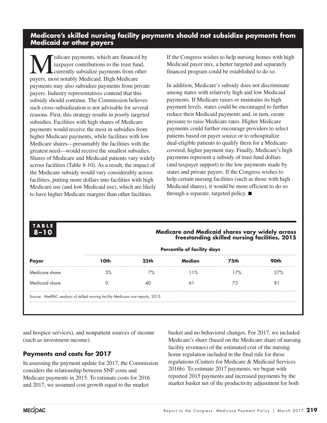### **Medicare's skilled nursing facility payments should not subsidize payments from Medicaid or other payers**

Medicare payments, which are financed by<br>taxpayer contributions to the trust fund,<br>navors most patably Medicaid High Medicare taxpayer contributions to the trust fund, currently subsidize payments from other payers, most notably Medicaid. High Medicare payments may also subsidize payments from private payers. Industry representatives contend that this subsidy should continue. The Commission believes such cross-subsidization is not advisable for several reasons. First, this strategy results in poorly targeted subsidies. Facilities with high shares of Medicare payments would receive the most in subsidies from higher Medicare payments, while facilities with low Medicare shares—presumably the facilities with the greatest need—would receive the smallest subsidies. Shares of Medicare and Medicaid patients vary widely across facilities (Table 8-10). As a result, the impact of the Medicare subsidy would vary considerably across facilities, putting more dollars into facilities with high Medicare use (and low Medicaid use), which are likely to have higher Medicare margins than other facilities.

If the Congress wishes to help nursing homes with high Medicaid payer mix, a better targeted and separately financed program could be established to do so.

In addition, Medicare's subsidy does not discriminate among states with relatively high and low Medicaid payments. If Medicare raises or maintains its high payment levels, states could be encouraged to further reduce their Medicaid payments and, in turn, create pressure to raise Medicare rates. Higher Medicare payments could further encourage providers to select patients based on payer source or to rehospitalize dual-eligible patients to qualify them for a Medicarecovered, higher payment stay. Finally, Medicare's high payments represent a subsidy of trust fund dollars (and taxpayer support) to the low payments made by states and private payers. If the Congress wishes to help certain nursing facilities (such as those with high Medicaid shares), it would be more efficient to do so through a separate, targeted policy. ■

| <b>TABLE</b><br>$8 - 10$ |        |                                    | <b>Medicare and Medicaid shares vary widely across</b> | freestanding skilled nursing facilities, 2015 |      |  |  |  |  |  |
|--------------------------|--------|------------------------------------|--------------------------------------------------------|-----------------------------------------------|------|--|--|--|--|--|
|                          |        | <b>Percentile of facility days</b> |                                                        |                                               |      |  |  |  |  |  |
| <b>Payer</b>             | l Nth  | 25 <sub>th</sub>                   | Median                                                 | <b>75th</b>                                   | 90th |  |  |  |  |  |
| Medicare share           | $.5\%$ | 7%                                 | 11%                                                    | 17%                                           | 27%  |  |  |  |  |  |
| Medicaid share           |        |                                    | 6                                                      | 73                                            | 8'   |  |  |  |  |  |

and hospice services), and nonpatient sources of income (such as investment income).

### **Payments and costs for 2017**

In assessing the payment update for 2017, the Commission considers the relationship between SNF costs and Medicare payments in 2015. To estimate costs for 2016 and 2017, we assumed cost growth equal to the market

basket and no behavioral changes. For 2017, we included Medicare's share (based on the Medicare share of nursing facility revenues) of the estimated cost of the nursing home regulation included in the final rule for these regulations (Centers for Medicare & Medicaid Services 2016b). To estimate 2017 payments, we began with reported 2015 payments and increased payments by the market basket net of the productivity adjustment for both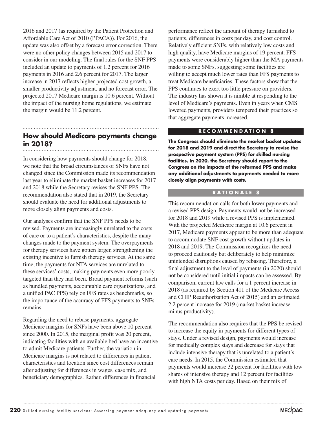2016 and 2017 (as required by the Patient Protection and Affordable Care Act of 2010 (PPACA)). For 2016, the update was also offset by a forecast error correction. There were no other policy changes between 2015 and 2017 to consider in our modeling. The final rules for the SNF PPS included an update to payments of 1.2 percent for 2016 payments in 2016 and 2.6 percent for 2017. The larger increase in 2017 reflects higher projected cost growth, a smaller productivity adjustment, and no forecast error. The projected 2017 Medicare margin is 10.6 percent. Without the impact of the nursing home regulations, we estimate the margin would be 11.2 percent.

# **How should Medicare payments change in 2018?**

In considering how payments should change for 2018, we note that the broad circumstances of SNFs have not changed since the Commission made its recommendation last year to eliminate the market basket increases for 2017 and 2018 while the Secretary revises the SNF PPS. The recommendation also stated that in 2019, the Secretary should evaluate the need for additional adjustments to more closely align payments and costs.

Our analyses confirm that the SNF PPS needs to be revised. Payments are increasingly unrelated to the costs of care or to a patient's characteristics, despite the many changes made to the payment system. The overpayments for therapy services have gotten larger, strengthening the existing incentive to furnish therapy services. At the same time, the payments for NTA services are unrelated to these services' costs, making payments even more poorly targeted than they had been. Broad payment reforms (such as bundled payments, accountable care organizations, and a unified PAC PPS) rely on FFS rates as benchmarks, so the importance of the accuracy of FFS payments to SNFs remains.

Regarding the need to rebase payments, aggregate Medicare margins for SNFs have been above 10 percent since 2000. In 2015, the marginal profit was 20 percent, indicating facilities with an available bed have an incentive to admit Medicare patients. Further, the variation in Medicare margins is not related to differences in patient characteristics and location since cost differences remain after adjusting for differences in wages, case mix, and beneficiary demographics. Rather, differences in financial

performance reflect the amount of therapy furnished to patients, differences in costs per day, and cost control. Relatively efficient SNFs, with relatively low costs and high quality, have Medicare margins of 19 percent. FFS payments were considerably higher than the MA payments made to some SNFs, suggesting some facilities are willing to accept much lower rates than FFS payments to treat Medicare beneficiaries. These factors show that the PPS continues to exert too little pressure on providers. The industry has shown it is nimble at responding to the level of Medicare's payments. Even in years when CMS lowered payments, providers tempered their practices so that aggregate payments increased.

#### **RECOMMENDATION 8**

**The Congress should eliminate the market basket updates for 2018 and 2019 and direct the Secretary to revise the prospective payment system (PPS) for skilled nursing facilities. In 2020, the Secretary should report to the Congress on the impacts of the reformed PPS and make any additional adjustments to payments needed to more closely align payments with costs.** 

#### **RATIONALE 8**

This recommendation calls for both lower payments and a revised PPS design. Payments would not be increased for 2018 and 2019 while a revised PPS is implemented. With the projected Medicare margin at 10.6 percent in 2017, Medicare payments appear to be more than adequate to accommodate SNF cost growth without updates in 2018 and 2019. The Commission recognizes the need to proceed cautiously but deliberately to help minimize unintended disruptions caused by rebasing. Therefore, a final adjustment to the level of payments (in 2020) should not be considered until initial impacts can be assessed. By comparison, current law calls for a 1 percent increase in 2018 (as required by Section 411 of the Medicare Access and CHIP Reauthorization Act of 2015) and an estimated 2.2 percent increase for 2019 (market basket increase minus productivity).

The recommendation also requires that the PPS be revised to increase the equity in payments for different types of stays. Under a revised design, payments would increase for medically complex stays and decrease for stays that include intensive therapy that is unrelated to a patient's care needs. In 2015, the Commission estimated that payments would increase 32 percent for facilities with low shares of intensive therapy and 12 percent for facilities with high NTA costs per day. Based on their mix of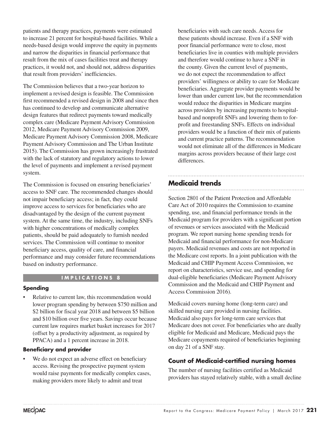patients and therapy practices, payments were estimated to increase 21 percent for hospital-based facilities. While a needs-based design would improve the equity in payments and narrow the disparities in financial performance that result from the mix of cases facilities treat and therapy practices, it would not, and should not, address disparities that result from providers' inefficiencies.

The Commission believes that a two-year horizon to implement a revised design is feasible. The Commission first recommended a revised design in 2008 and since then has continued to develop and communicate alternative design features that redirect payments toward medically complex care (Medicare Payment Advisory Commission 2012, Medicare Payment Advisory Commission 2009, Medicare Payment Advisory Commission 2008, Medicare Payment Advisory Commission and The Urban Institute 2015). The Commission has grown increasingly frustrated with the lack of statutory and regulatory actions to lower the level of payments and implement a revised payment system.

The Commission is focused on ensuring beneficiaries' access to SNF care. The recommended changes should not impair beneficiary access; in fact, they could improve access to services for beneficiaries who are disadvantaged by the design of the current payment system. At the same time, the industry, including SNFs with higher concentrations of medically complex patients, should be paid adequately to furnish needed services. The Commission will continue to monitor beneficiary access, quality of care, and financial performance and may consider future recommendations based on industry performance.

#### **IMPLICATIONS 8**

#### **Spending**

Relative to current law, this recommendation would lower program spending by between \$750 million and \$2 billion for fiscal year 2018 and between \$5 billion and \$10 billion over five years. Savings occur because current law requires market basket increases for 2017 (offset by a productivity adjustment, as required by PPACA) and a 1 percent increase in 2018.

#### **Beneficiary and provider**

• We do not expect an adverse effect on beneficiary access. Revising the prospective payment system would raise payments for medically complex cases, making providers more likely to admit and treat

beneficiaries with such care needs. Access for these patients should increase. Even if a SNF with poor financial performance were to close, most beneficiaries live in counties with multiple providers and therefore would continue to have a SNF in the county. Given the current level of payments, we do not expect the recommendation to affect providers' willingness or ability to care for Medicare beneficiaries. Aggregate provider payments would be lower than under current law, but the recommendation would reduce the disparities in Medicare margins across providers by increasing payments to hospitalbased and nonprofit SNFs and lowering them to forprofit and freestanding SNFs. Effects on individual providers would be a function of their mix of patients and current practice patterns. The recommendation would not eliminate all of the differences in Medicare margins across providers because of their large cost differences.

# **Medicaid trends**

Section 2801 of the Patient Protection and Affordable Care Act of 2010 requires the Commission to examine spending, use, and financial performance trends in the Medicaid program for providers with a significant portion of revenues or services associated with the Medicaid program. We report nursing home spending trends for Medicaid and financial performance for non-Medicare payers. Medicaid revenues and costs are not reported in the Medicare cost reports. In a joint publication with the Medicaid and CHIP Payment Access Commission, we report on characteristics, service use, and spending for dual-eligible beneficiaries (Medicare Payment Advisory Commission and the Medicaid and CHIP Payment and Access Commission 2016).

Medicaid covers nursing home (long-term care) and skilled nursing care provided in nursing facilities. Medicaid also pays for long-term care services that Medicare does not cover. For beneficiaries who are dually eligible for Medicaid and Medicare, Medicaid pays the Medicare copayments required of beneficiaries beginning on day 21 of a SNF stay.

#### **Count of Medicaid-certified nursing homes**

The number of nursing facilities certified as Medicaid providers has stayed relatively stable, with a small decline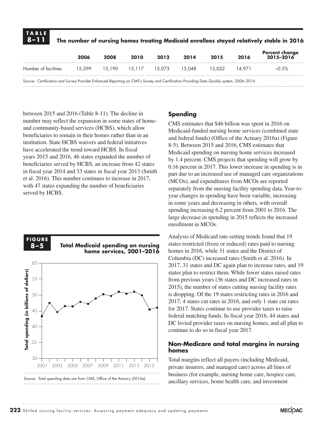| <b>TABLE</b><br>$  8 - 11  $                                                                                                             |                             |      |      |      |          |        |        | The number of nursing homes treating Medicaid enrollees stayed relatively stable in 2016 |
|------------------------------------------------------------------------------------------------------------------------------------------|-----------------------------|------|------|------|----------|--------|--------|------------------------------------------------------------------------------------------|
|                                                                                                                                          | 2006                        | 2008 | 2010 | 2012 | 2014     | 2015   | 2016   | Percent change<br>2015–2016                                                              |
| Number of facilities                                                                                                                     | 15.299 15.190 15.117 15.073 |      |      |      | - 15.048 | 15.052 | 14.971 | $-0.5%$                                                                                  |
| Source: Certification and Survey Provider Enhanced Reporting on CMS's Survey and Certification Providing Data Quickly system, 2006–2016. |                             |      |      |      |          |        |        |                                                                                          |

between 2015 and 2016 (Table 8-11). The decline in number may reflect the expansion in some states of homeand community-based services (HCBS), which allow beneficiaries to remain in their homes rather than in an institution. State HCBS waivers and federal initiatives have accelerated the trend toward HCBS. In fiscal years 2015 and 2016, 46 states expanded the number of beneficiaries served by HCBS, an increase from 42 states in fiscal year 2014 and 33 states in fiscal year 2013 (Smith et al. 2016). This number continues to increase in 2017, with 47 states expanding the number of beneficiaries served by HCBS.



#### **Spending**

CMS estimates that \$46 billion was spent in 2016 on Medicaid-funded nursing home services (combined state and federal funds) (Office of the Actuary 2016a) (Figure 8-5). Between 2015 and 2016, CMS estimates that Medicaid spending on nursing home services increased by 1.4 percent. CMS projects that spending will grow by 0.16 percent in 2017. This lower increase in spending is in part due to an increased use of managed care organizations (MCOs), and expenditures from MCOs are reported separately from the nursing facility spending data. Year-toyear changes in spending have been variable, increasing in some years and decreasing in others, with overall spending increasing 6.2 percent from 2001 to 2016. The large decrease in spending in 2015 reflects the increased enrollment in MCOs.

Analysis of Medicaid rate-setting trends found that 19 states restricted (froze or reduced) rates paid to nursing homes in 2016, while 31 states and the District of Columbia (DC) increased rates (Smith et al. 2016). In 2017, 31 states and DC again plan to increase rates, and 19 states plan to restrict them. While fewer states raised rates from previous years (36 states and DC increased rates in 2015), the number of states cutting nursing facility rates is dropping. Of the 19 states restricting rates in 2016 and 2017, 4 states cut rates in 2016, and only 1 state cut rates for 2017. States continue to use provider taxes to raise federal matching funds. In fiscal year 2016, 44 states and DC levied provider taxes on nursing homes, and all plan to continue to do so in fiscal year 2017.

#### **Non-Medicare and total margins in nursing homes**

Total margins reflect all payers (including Medicaid, private insurers, and managed care) across all lines of business (for example, nursing home care, hospice care, ancillary services, home health care, and investment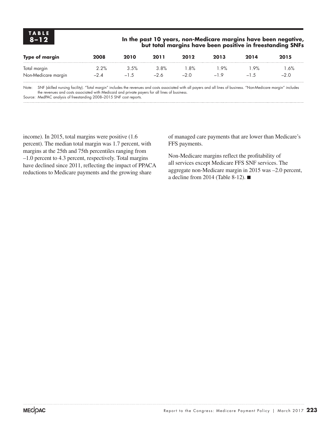#### **8–12 In the past 10 years, non-Medicare margins have been negative, but total margins have been positive in freestanding SNFs**

| <b>Type of margin</b>                                                                                                                                                                                                            | 2008   | 2010   | 2011  | 2012   | 2013  | 2014                                                                                                                                | 2015                         |
|----------------------------------------------------------------------------------------------------------------------------------------------------------------------------------------------------------------------------------|--------|--------|-------|--------|-------|-------------------------------------------------------------------------------------------------------------------------------------|------------------------------|
| Total margin                                                                                                                                                                                                                     | 2.2%   | 3.5%   | 3.8%  | $.8\%$ | 9%    | .9%                                                                                                                                 | 1.6%                         |
| Non-Medicare margin                                                                                                                                                                                                              | $-2.4$ | $-1.5$ | $-26$ | $-2.0$ | $-19$ | $-1.5$                                                                                                                              | $-2.0$                       |
| $\mathbf{v}$ , and the set of the set of the set of the set of the set of the set of the set of the set of the set of the set of the set of the set of the set of the set of the set of the set of the set of the set of the set |        |        |       |        |       | $\mathbf{r}$ and $\mathbf{r}$ and $\mathbf{r}$ and $\mathbf{r}$ and $\mathbf{r}$ and $\mathbf{r}$ and $\mathbf{r}$ and $\mathbf{r}$ | $\sim$ $\prime\prime$ $\sim$ |

Note: SNF (skilled nursing facility). "Total margin" includes the revenues and costs associated with all payers and all lines of business. "Non-Medicare margin" includes the revenues and costs associated with Medicaid and private payers for all lines of business. Source: MedPAC analysis of freestanding 2008–2015 SNF cost reports.

income). In 2015, total margins were positive (1.6 percent). The median total margin was 1.7 percent, with margins at the 25th and 75th percentiles ranging from –1.0 percent to 4.3 percent, respectively. Total margins have declined since 2011, reflecting the impact of PPACA reductions to Medicare payments and the growing share

of managed care payments that are lower than Medicare's FFS payments.

Non-Medicare margins reflect the profitability of all services except Medicare FFS SNF services. The aggregate non-Medicare margin in 2015 was –2.0 percent, a decline from 2014 (Table 8-12). ■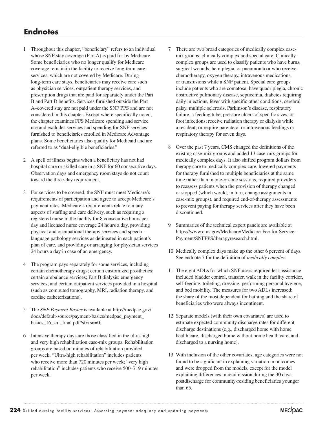- 1 Throughout this chapter, "beneficiary" refers to an individual whose SNF stay coverage (Part A) is paid for by Medicare. Some beneficiaries who no longer qualify for Medicare coverage remain in the facility to receive long-term care services, which are not covered by Medicare. During long-term care stays, beneficiaries may receive care such as physician services, outpatient therapy services, and prescription drugs that are paid for separately under the Part B and Part D benefits. Services furnished outside the Part A–covered stay are not paid under the SNF PPS and are not considered in this chapter. Except where specifically noted, the chapter examines FFS Medicare spending and service use and excludes services and spending for SNF services furnished to beneficiaries enrolled in Medicare Advantage plans. Some beneficiaries also qualify for Medicaid and are referred to as "dual-eligible beneficiaries."
- 2 A spell of illness begins when a beneficiary has not had hospital care or skilled care in a SNF for 60 consecutive days. Observation days and emergency room stays do not count toward the three-day requirement.
- 3 For services to be covered, the SNF must meet Medicare's requirements of participation and agree to accept Medicare's payment rates. Medicare's requirements relate to many aspects of staffing and care delivery, such as requiring a registered nurse in the facility for 8 consecutive hours per day and licensed nurse coverage 24 hours a day, providing physical and occupational therapy services and speech– language pathology services as delineated in each patient's plan of care, and providing or arranging for physician services 24 hours a day in case of an emergency.
- 4 The program pays separately for some services, including certain chemotherapy drugs; certain customized prosthetics; certain ambulance services; Part B dialysis; emergency services; and certain outpatient services provided in a hospital (such as computed tomography, MRI, radiation therapy, and cardiac catheterizations).
- 5 The *SNF Payment Basics* is available at http://medpac.gov/ docs/default-source/payment-basics/medpac\_payment\_ basics\_16\_snf\_final.pdf?sfvrsn=0.
- 6 Intensive therapy days are those classified in the ultra-high and very high rehabilitation case-mix groups. Rehabilitation groups are based on minutes of rehabilitation provided per week. "Ultra-high rehabilitation" includes patients who receive more than 720 minutes per week; "very high rehabilitation" includes patients who receive 500–719 minutes per week.
- 7 There are two broad categories of medically complex casemix groups: clinically complex and special care. Clinically complex groups are used to classify patients who have burns, surgical wounds, hemiplegia, or pneumonia or who receive chemotherapy, oxygen therapy, intravenous medications, or transfusions while a SNF patient. Special care groups include patients who are comatose; have quadriplegia, chronic obstructive pulmonary disease, septicemia, diabetes requiring daily injections, fever with specific other conditions, cerebral palsy, multiple sclerosis, Parkinson's disease, respiratory failure, a feeding tube, pressure ulcers of specific sizes, or foot infections; receive radiation therapy or dialysis while a resident; or require parenteral or intravenous feedings or respiratory therapy for seven days.
- 8 Over the past 7 years, CMS changed the definitions of the existing case-mix groups and added 13 case-mix groups for medically complex days. It also shifted program dollars from therapy care to medically complex care, lowered payments for therapy furnished to multiple beneficiaries at the same time rather than in one-on-one sessions, required providers to reassess patients when the provision of therapy changed or stopped (which would, in turn, change assignments in case-mix groups), and required end-of-therapy assessments to prevent paying for therapy services after they have been discontinued.
- 9 Summaries of the technical expert panels are available at https://www.cms.gov/Medicare/Medicare-Fee-for-Service-Payment/SNFPPS/therapyresearch.html.
- 10 Medically complex days make up the other 6 percent of days. See endnote 7 for the definition of *medically complex*.
- 11 The eight ADLs for which SNF users required less assistance included bladder control, transfer, walk in the facility corridor, self-feeding, toileting, dressing, performing personal hygiene, and bed mobility. The measures for two ADLs increased: the share of the most dependent for bathing and the share of beneficiaries who were always incontinent.
- 12 Separate models (with their own covariates) are used to estimate expected community discharge rates for different discharge destinations (e.g., discharged home with home health care, discharged home without home health care, and discharged to a nursing home).
- 13 With inclusion of the other covariates, age categories were not found to be significant in explaining variation in outcomes and were dropped from the models, except for the model explaining differences in readmission during the 30 days postdischarge for community-residing beneficiaries younger than 65.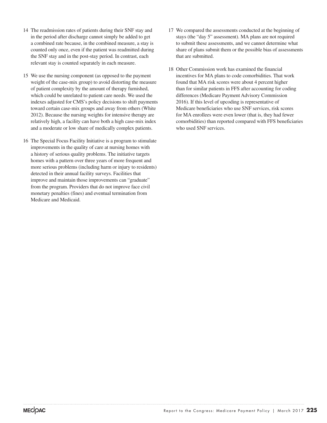- 14 The readmission rates of patients during their SNF stay and in the period after discharge cannot simply be added to get a combined rate because, in the combined measure, a stay is counted only once, even if the patient was readmitted during the SNF stay and in the post-stay period. In contrast, each relevant stay is counted separately in each measure.
- 15 We use the nursing component (as opposed to the payment weight of the case-mix group) to avoid distorting the measure of patient complexity by the amount of therapy furnished, which could be unrelated to patient care needs. We used the indexes adjusted for CMS's policy decisions to shift payments toward certain case-mix groups and away from others (White 2012). Because the nursing weights for intensive therapy are relatively high, a facility can have both a high case-mix index and a moderate or low share of medically complex patients.
- 16 The Special Focus Facility Initiative is a program to stimulate improvements in the quality of care at nursing homes with a history of serious quality problems. The initiative targets homes with a pattern over three years of more frequent and more serious problems (including harm or injury to residents) detected in their annual facility surveys. Facilities that improve and maintain those improvements can "graduate" from the program. Providers that do not improve face civil monetary penalties (fines) and eventual termination from Medicare and Medicaid.
- 17 We compared the assessments conducted at the beginning of stays (the "day 5" assessment). MA plans are not required to submit these assessments, and we cannot determine what share of plans submit them or the possible bias of assessments that are submitted.
- 18 Other Commission work has examined the financial incentives for MA plans to code comorbidities. That work found that MA risk scores were about 4 percent higher than for similar patients in FFS after accounting for coding differences (Medicare Payment Advisory Commission 2016). If this level of upcoding is representative of Medicare beneficiaries who use SNF services, risk scores for MA enrollees were even lower (that is, they had fewer comorbidities) than reported compared with FFS beneficiaries who used SNF services.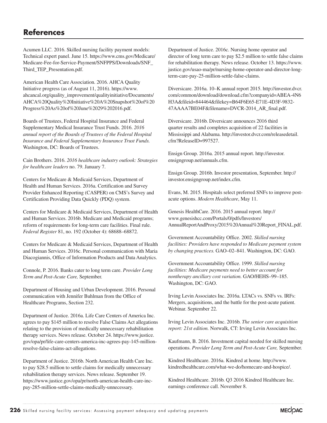# **References**

Acumen LLC. 2016. Skilled nursing facility payment models: Technical expert panel. June 15. https://www.cms.gov/Medicare/ Medicare-Fee-for-Service-Payment/SNFPPS/Downloads/SNF\_ Third\_TEP\_Presentation.pdf.

American Health Care Association. 2016. AHCA Quality Initiative progress (as of August 11, 2016). https://www. ahcancal.org/quality\_improvement/qualityinitiative/Documents/ AHCA%20Quality%20Initiative%20A%20Snapshot%20of%20 Progress%20As%20of%20June%2029%202016.pdf.

Boards of Trustees, Federal Hospital Insurance and Federal Supplementary Medical Insurance Trust Funds. 2016. *2016 annual report of the Boards of Trustees of the Federal Hospital Insurance and Federal Supplementary Insurance Trust Funds.* Washington, DC: Boards of Trustees.

Cain Brothers. 2016. *2016 healthcare industry outlook: Strategies for healthcare leaders* no. 79. January 7.

Centers for Medicare & Medicaid Services, Department of Health and Human Services. 2016a. Certification and Survey Provider Enhanced Reporting (CASPER) on CMS's Survey and Certification Providing Data Quickly (PDQ) system.

Centers for Medicare & Medicaid Services, Department of Health and Human Services. 2016b. Medicare and Medicaid programs; reform of requirements for long-term care facilities. Final rule. *Federal Register* 81, no. 192 (October 4): 68688–68872.

Centers for Medicare & Medicaid Services, Department of Health and Human Services. 2016c. Personal communication with Maria Diacogiannis, Office of Information Products and Data Analytics.

Connole, P. 2016. Banks cater to long term care. *Provider Long Term and Post-Acute Care,* September.

Department of Housing and Urban Development. 2016. Personal communication with Jennifer Buhlman from the Office of Healthcare Programs, Section 232.

Department of Justice. 2016a. Life Care Centers of America Inc. agrees to pay \$145 million to resolve False Claims Act allegations relating to the provision of medically unnecessary rehabilitation therapy services. News release. October 24. https://www.justice. gov/opa/pr/life-care-centers-america-inc-agrees-pay-145-millionresolve-false-claims-act-allegations.

Department of Justice. 2016b. North American Health Care Inc. to pay \$28.5 million to settle claims for medically unnecessary rehabilitation therapy services. News release. September 19. https://www.justice.gov/opa/pr/north-american-health-care-incpay-285-million-settle-claims-medically-unnecessary.

Department of Justice. 2016c. Nursing home operator and director of long term care to pay \$2.5 million to settle false claims for rehabilitation therapy. News release. October 13. https://www. justice.gov/usao-ma/pr/nursing-home-operator-and-director-longterm-care-pay-25-million-settle-false-claims.

Diversicare. 2016a. 10–K annual report 2015. http://investor.dvcr. com/common/download/download.cfm?companyid=ABEA-4N6 H3A&fileid=844464&filekey=B64F6E65-E71E-4D3F-9832- 47AAAA7BE04F&filename=DVCR-2014\_AR\_final.pdf.

Diversicare. 2016b. Diversicare announces 2016 third quarter results and completes acquisition of 22 facilities in Mississippi and Alabama. http://investor.dvcr.com/releasedetail. cfm?ReleaseID=997527.

Ensign Group. 2016a. 2015 annual report. http://investor. ensigngroup.net/annuals.cfm.

Ensign Group. 2016b. Investor presentation, September. http:// investor.ensigngroup.net/index.cfm.

Evans, M. 2015. Hospitals select preferred SNFs to improve postacute options. *Modern Healthcare*, May 11.

Genesis HealthCare. 2016. 2015 annual report. http:// www.genesishcc.com/Portals/0/pdfs/Investors/ AnnualReportAndProxy/2015%20Annual%20Report\_FINAL.pdf.

Government Accountability Office. 2002. *Skilled nursing facilities: Providers have responded to Medicare payment system by changing practices.* GAO–02–841. Washington, DC: GAO.

Government Accountability Office. 1999. *Skilled nursing facilities: Medicare payments need to better account for nontherapy ancillary cost variation.* GAO/HEHS–99–185. Washington, DC: GAO.

Irving Levin Associates Inc. 2016a. LTACs vs. SNFs vs. IRFs: Mergers, acquisitions, and the battle for the post-acute patient. Webinar. September 22.

Irving Levin Associates Inc. 2016b. *The senior care acquisition report: 21st edition.* Norwalk, CT: Irving Levin Associates Inc.

Kaufmann, B. 2016. Investment capital needed for skilled nursing operations. *Provider Long Term and Post-Acute Care,* September.

Kindred Healthcare. 2016a. Kindred at home. http://www. kindredhealthcare.com/what-we-do/homecare-and-hospice/.

Kindred Healthcare. 2016b. Q3 2016 Kindred Healthcare Inc. earnings conference call. November 8.